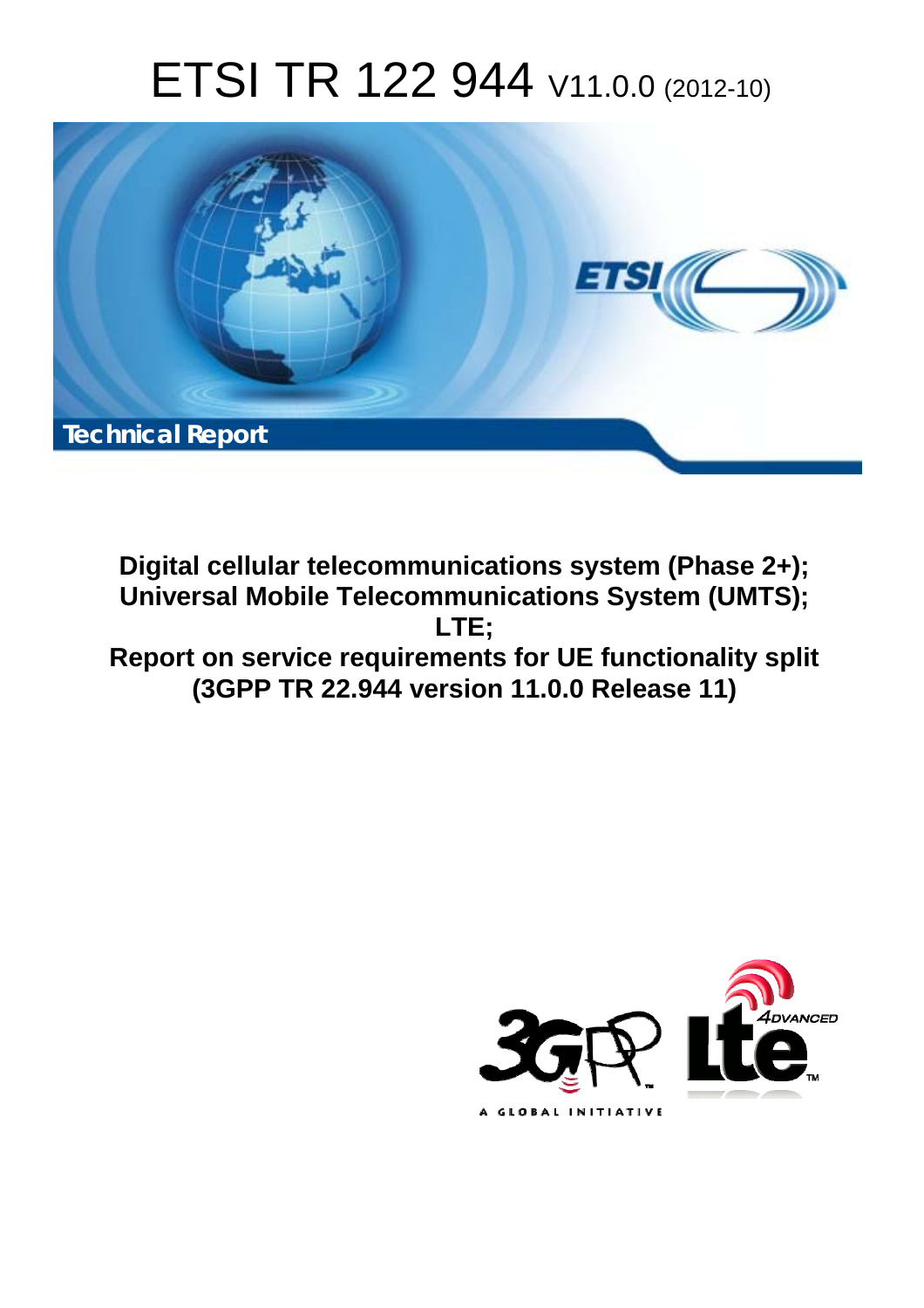# ETSI TR 122 944 V11.0.0 (2012-10)



**Digital cellular telecommunications system (Phase 2+); Universal Mobile Telecommunications System (UMTS); LTE; Report on service requirements for UE functionality split (3GPP TR 22.944 version 11.0.0 Release 11)** 

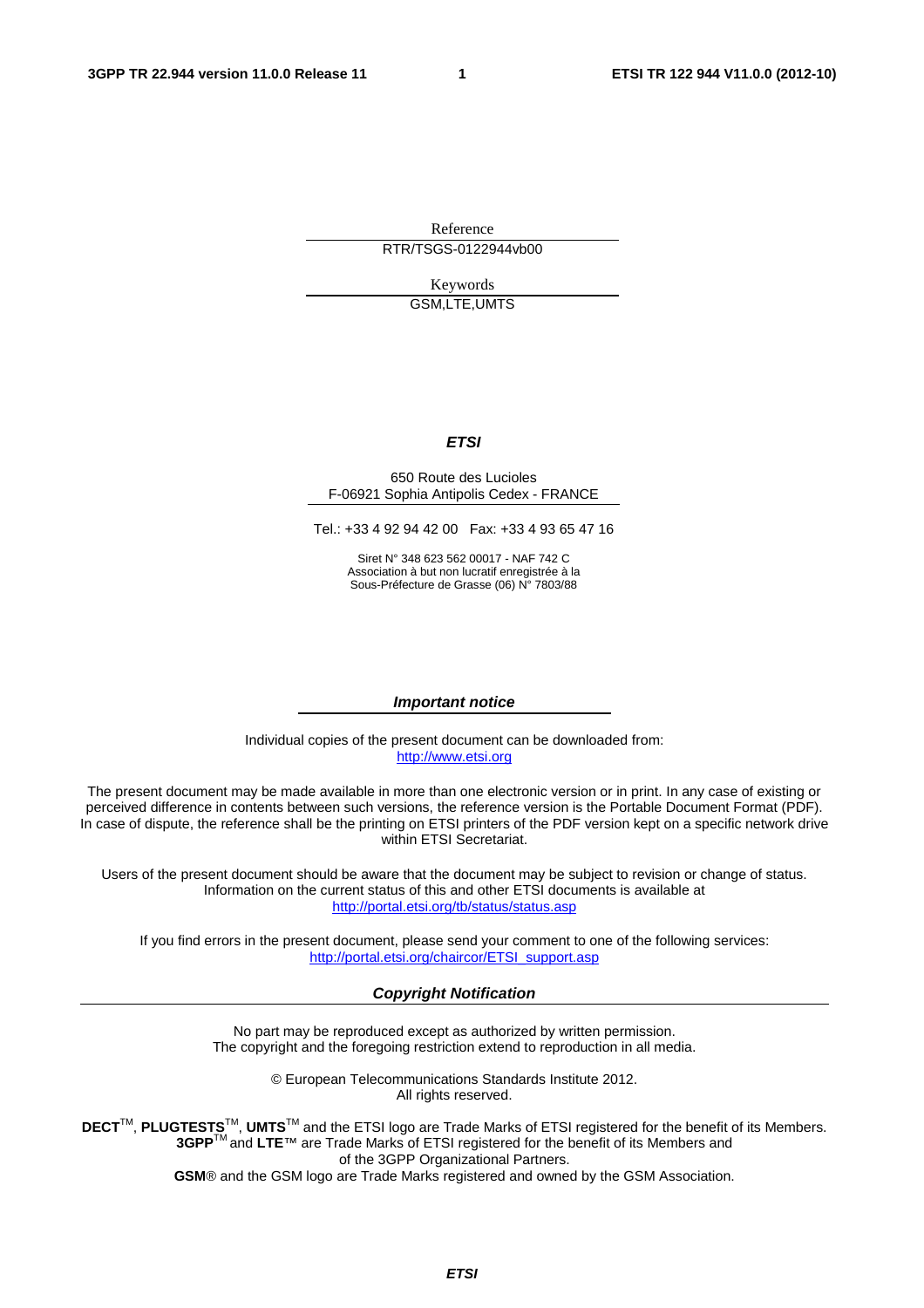Reference RTR/TSGS-0122944vb00

> Keywords GSM,LTE,UMTS

#### *ETSI*

#### 650 Route des Lucioles F-06921 Sophia Antipolis Cedex - FRANCE

Tel.: +33 4 92 94 42 00 Fax: +33 4 93 65 47 16

Siret N° 348 623 562 00017 - NAF 742 C Association à but non lucratif enregistrée à la Sous-Préfecture de Grasse (06) N° 7803/88

#### *Important notice*

Individual copies of the present document can be downloaded from: [http://www.etsi.org](http://www.etsi.org/)

The present document may be made available in more than one electronic version or in print. In any case of existing or perceived difference in contents between such versions, the reference version is the Portable Document Format (PDF). In case of dispute, the reference shall be the printing on ETSI printers of the PDF version kept on a specific network drive within ETSI Secretariat.

Users of the present document should be aware that the document may be subject to revision or change of status. Information on the current status of this and other ETSI documents is available at <http://portal.etsi.org/tb/status/status.asp>

If you find errors in the present document, please send your comment to one of the following services: [http://portal.etsi.org/chaircor/ETSI\\_support.asp](http://portal.etsi.org/chaircor/ETSI_support.asp)

#### *Copyright Notification*

No part may be reproduced except as authorized by written permission. The copyright and the foregoing restriction extend to reproduction in all media.

> © European Telecommunications Standards Institute 2012. All rights reserved.

**DECT**TM, **PLUGTESTS**TM, **UMTS**TM and the ETSI logo are Trade Marks of ETSI registered for the benefit of its Members. **3GPP**TM and **LTE**™ are Trade Marks of ETSI registered for the benefit of its Members and of the 3GPP Organizational Partners.

**GSM**® and the GSM logo are Trade Marks registered and owned by the GSM Association.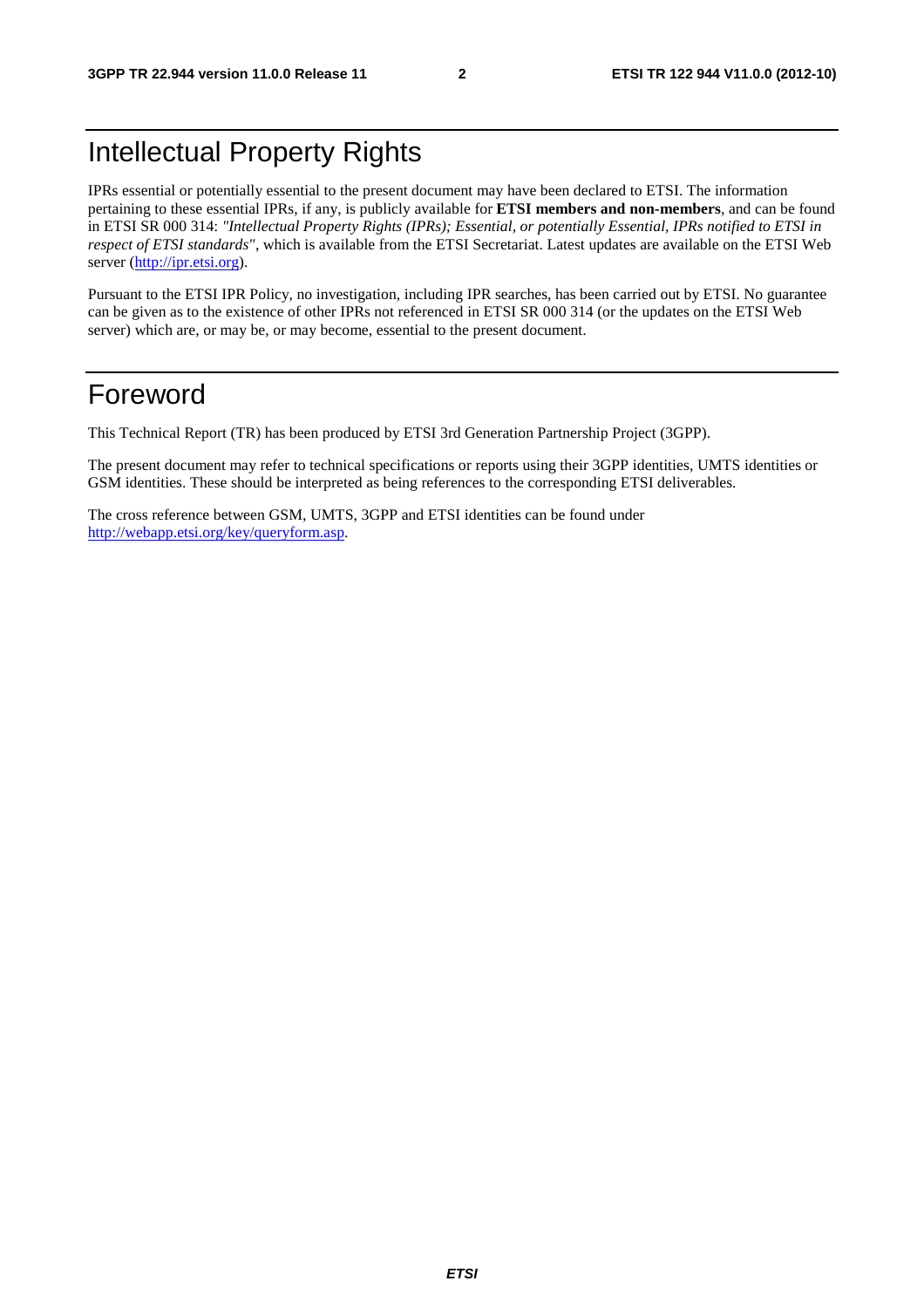### Intellectual Property Rights

IPRs essential or potentially essential to the present document may have been declared to ETSI. The information pertaining to these essential IPRs, if any, is publicly available for **ETSI members and non-members**, and can be found in ETSI SR 000 314: *"Intellectual Property Rights (IPRs); Essential, or potentially Essential, IPRs notified to ETSI in respect of ETSI standards"*, which is available from the ETSI Secretariat. Latest updates are available on the ETSI Web server ([http://ipr.etsi.org\)](http://webapp.etsi.org/IPR/home.asp).

Pursuant to the ETSI IPR Policy, no investigation, including IPR searches, has been carried out by ETSI. No guarantee can be given as to the existence of other IPRs not referenced in ETSI SR 000 314 (or the updates on the ETSI Web server) which are, or may be, or may become, essential to the present document.

### Foreword

This Technical Report (TR) has been produced by ETSI 3rd Generation Partnership Project (3GPP).

The present document may refer to technical specifications or reports using their 3GPP identities, UMTS identities or GSM identities. These should be interpreted as being references to the corresponding ETSI deliverables.

The cross reference between GSM, UMTS, 3GPP and ETSI identities can be found under [http://webapp.etsi.org/key/queryform.asp.](http://webapp.etsi.org/key/queryform.asp)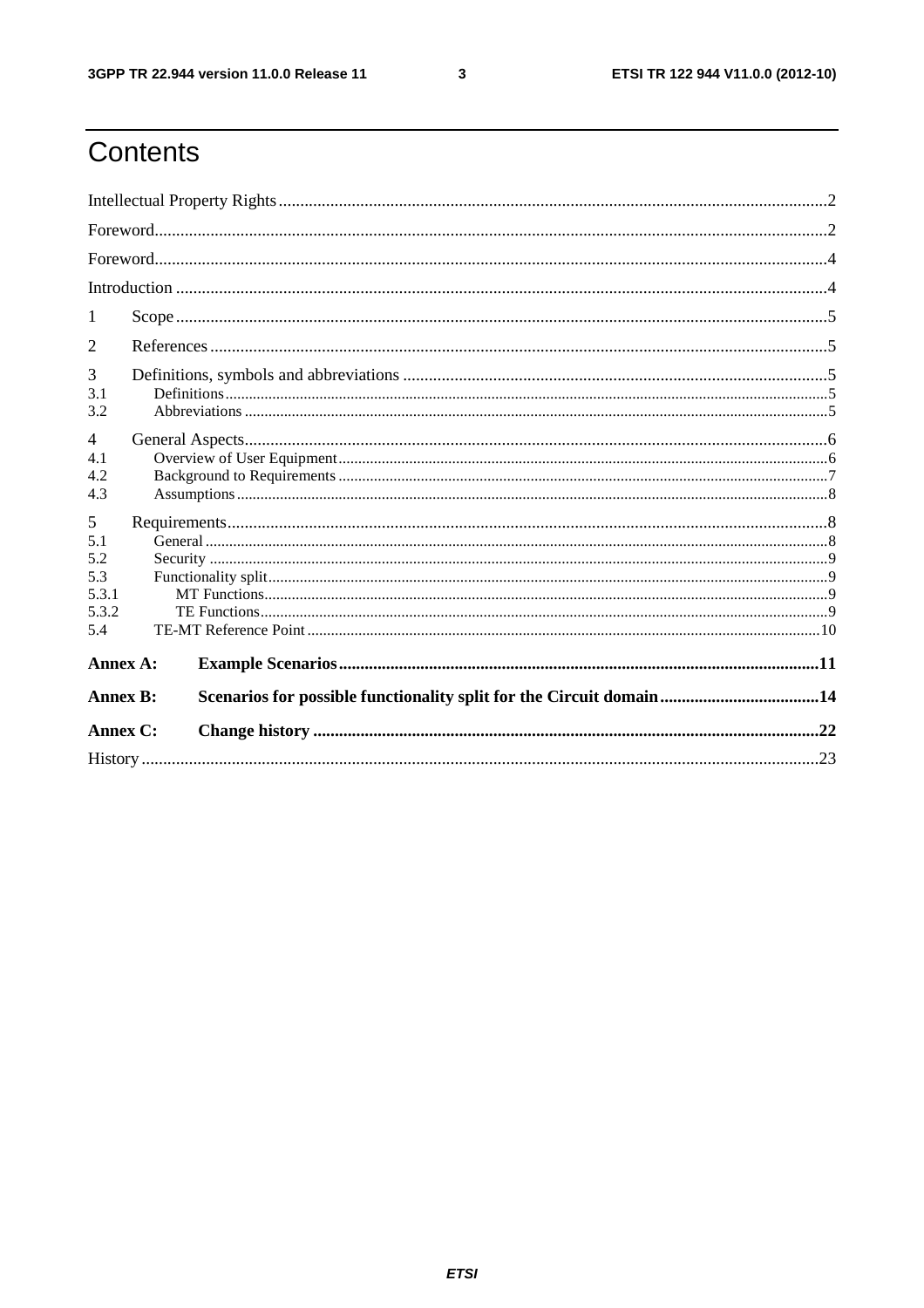$\mathbf{3}$ 

### Contents

| 1                                               |  |                                                                     |  |  |  |  |
|-------------------------------------------------|--|---------------------------------------------------------------------|--|--|--|--|
| 2                                               |  |                                                                     |  |  |  |  |
| 3<br>3.1<br>3.2                                 |  |                                                                     |  |  |  |  |
| 4<br>4.1<br>4.2<br>4.3                          |  |                                                                     |  |  |  |  |
| 5<br>5.1<br>5.2<br>5.3<br>5.3.1<br>5.3.2<br>5.4 |  |                                                                     |  |  |  |  |
| Annex A:                                        |  |                                                                     |  |  |  |  |
| <b>Annex B:</b>                                 |  | Scenarios for possible functionality split for the Circuit domain14 |  |  |  |  |
| Annex C:                                        |  |                                                                     |  |  |  |  |
|                                                 |  |                                                                     |  |  |  |  |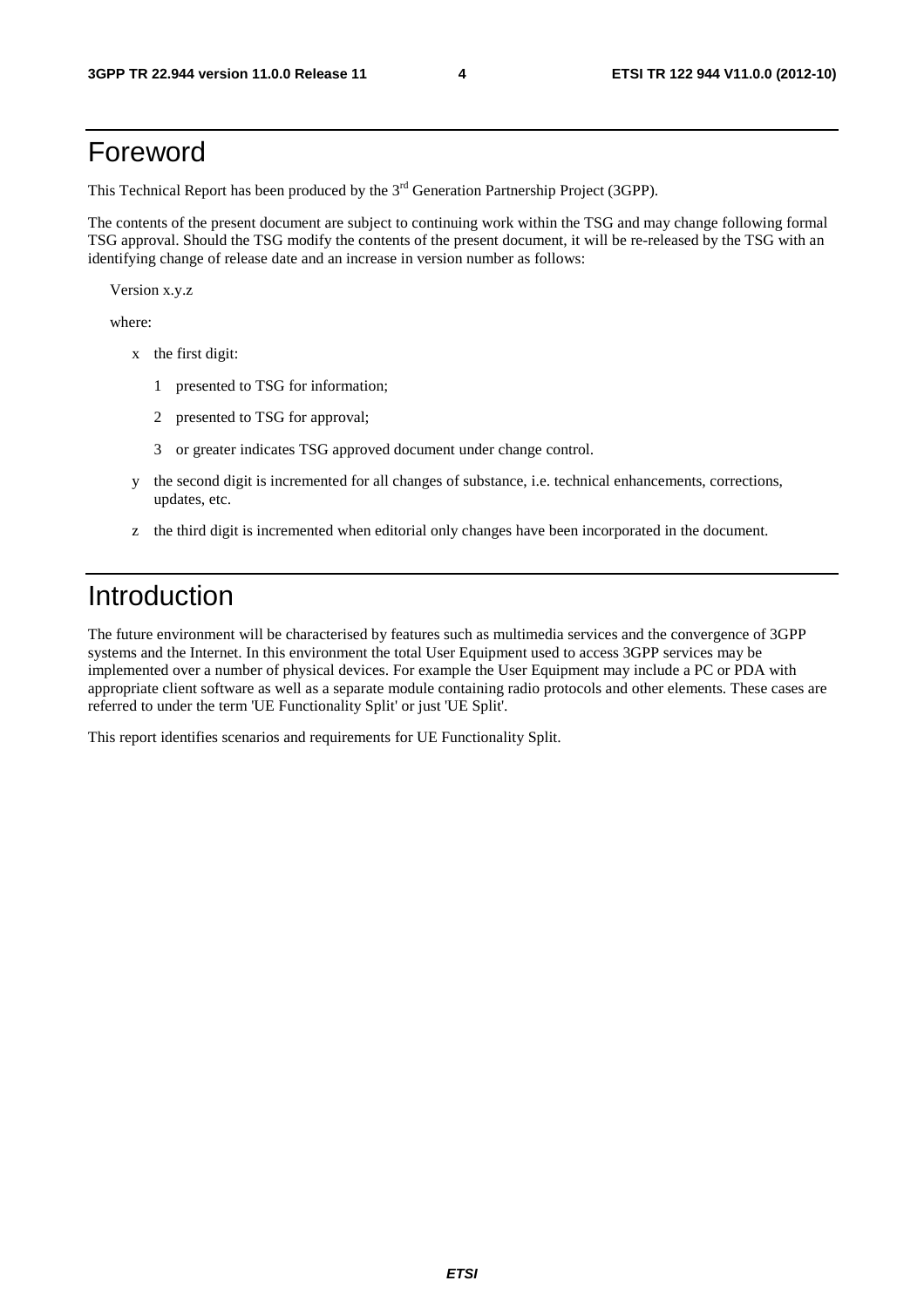### Foreword

This Technical Report has been produced by the  $3<sup>rd</sup>$  Generation Partnership Project (3GPP).

The contents of the present document are subject to continuing work within the TSG and may change following formal TSG approval. Should the TSG modify the contents of the present document, it will be re-released by the TSG with an identifying change of release date and an increase in version number as follows:

Version x.y.z

where:

- x the first digit:
	- 1 presented to TSG for information;
	- 2 presented to TSG for approval;
	- 3 or greater indicates TSG approved document under change control.
- y the second digit is incremented for all changes of substance, i.e. technical enhancements, corrections, updates, etc.
- z the third digit is incremented when editorial only changes have been incorporated in the document.

### Introduction

The future environment will be characterised by features such as multimedia services and the convergence of 3GPP systems and the Internet. In this environment the total User Equipment used to access 3GPP services may be implemented over a number of physical devices. For example the User Equipment may include a PC or PDA with appropriate client software as well as a separate module containing radio protocols and other elements. These cases are referred to under the term 'UE Functionality Split' or just 'UE Split'.

This report identifies scenarios and requirements for UE Functionality Split.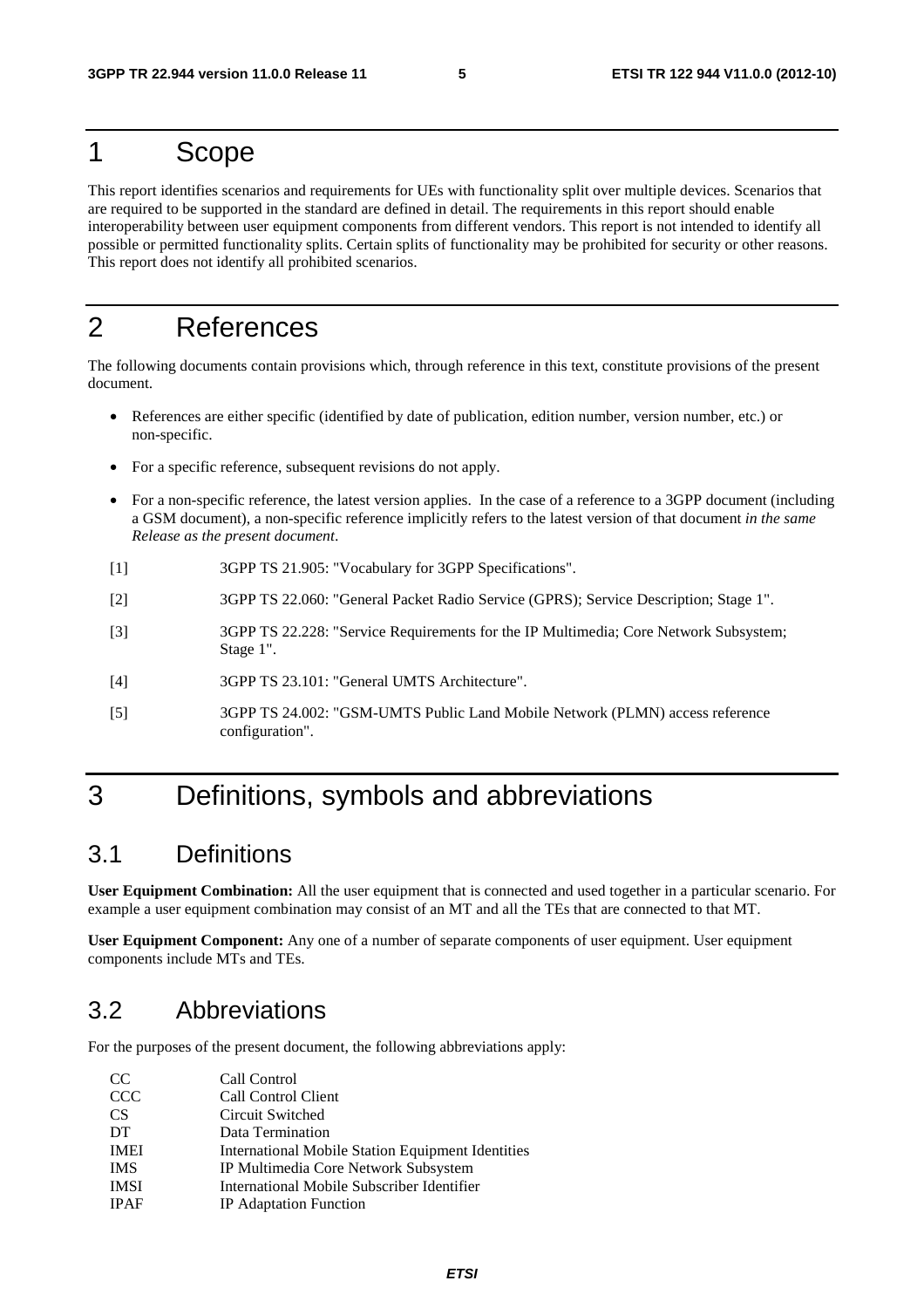### 1 Scope

This report identifies scenarios and requirements for UEs with functionality split over multiple devices. Scenarios that are required to be supported in the standard are defined in detail. The requirements in this report should enable interoperability between user equipment components from different vendors. This report is not intended to identify all possible or permitted functionality splits. Certain splits of functionality may be prohibited for security or other reasons. This report does not identify all prohibited scenarios.

### 2 References

The following documents contain provisions which, through reference in this text, constitute provisions of the present document.

- References are either specific (identified by date of publication, edition number, version number, etc.) or non-specific.
- For a specific reference, subsequent revisions do not apply.
- For a non-specific reference, the latest version applies. In the case of a reference to a 3GPP document (including a GSM document), a non-specific reference implicitly refers to the latest version of that document *in the same Release as the present document*.
- [1] 3GPP TS 21.905: "Vocabulary for 3GPP Specifications".
- [2] 3GPP TS 22.060: "General Packet Radio Service (GPRS); Service Description; Stage 1".
- [3] 3GPP TS 22.228: "Service Requirements for the IP Multimedia; Core Network Subsystem; Stage 1".
- [4] 3GPP TS 23.101: "General UMTS Architecture".
- [5] 3GPP TS 24.002: "GSM-UMTS Public Land Mobile Network (PLMN) access reference configuration".

### 3 Definitions, symbols and abbreviations

### 3.1 Definitions

**User Equipment Combination:** All the user equipment that is connected and used together in a particular scenario. For example a user equipment combination may consist of an MT and all the TEs that are connected to that MT.

**User Equipment Component:** Any one of a number of separate components of user equipment. User equipment components include MTs and TEs.

### 3.2 Abbreviations

For the purposes of the present document, the following abbreviations apply:

| <sub>CC</sub> | Call Control                                      |
|---------------|---------------------------------------------------|
| <b>CCC</b>    | Call Control Client                               |
| <b>CS</b>     | Circuit Switched                                  |
| DT            | Data Termination                                  |
| <b>IMEI</b>   | International Mobile Station Equipment Identities |
| <b>IMS</b>    | IP Multimedia Core Network Subsystem              |
| <b>IMSI</b>   | International Mobile Subscriber Identifier        |
| <b>IPAF</b>   | IP Adaptation Function                            |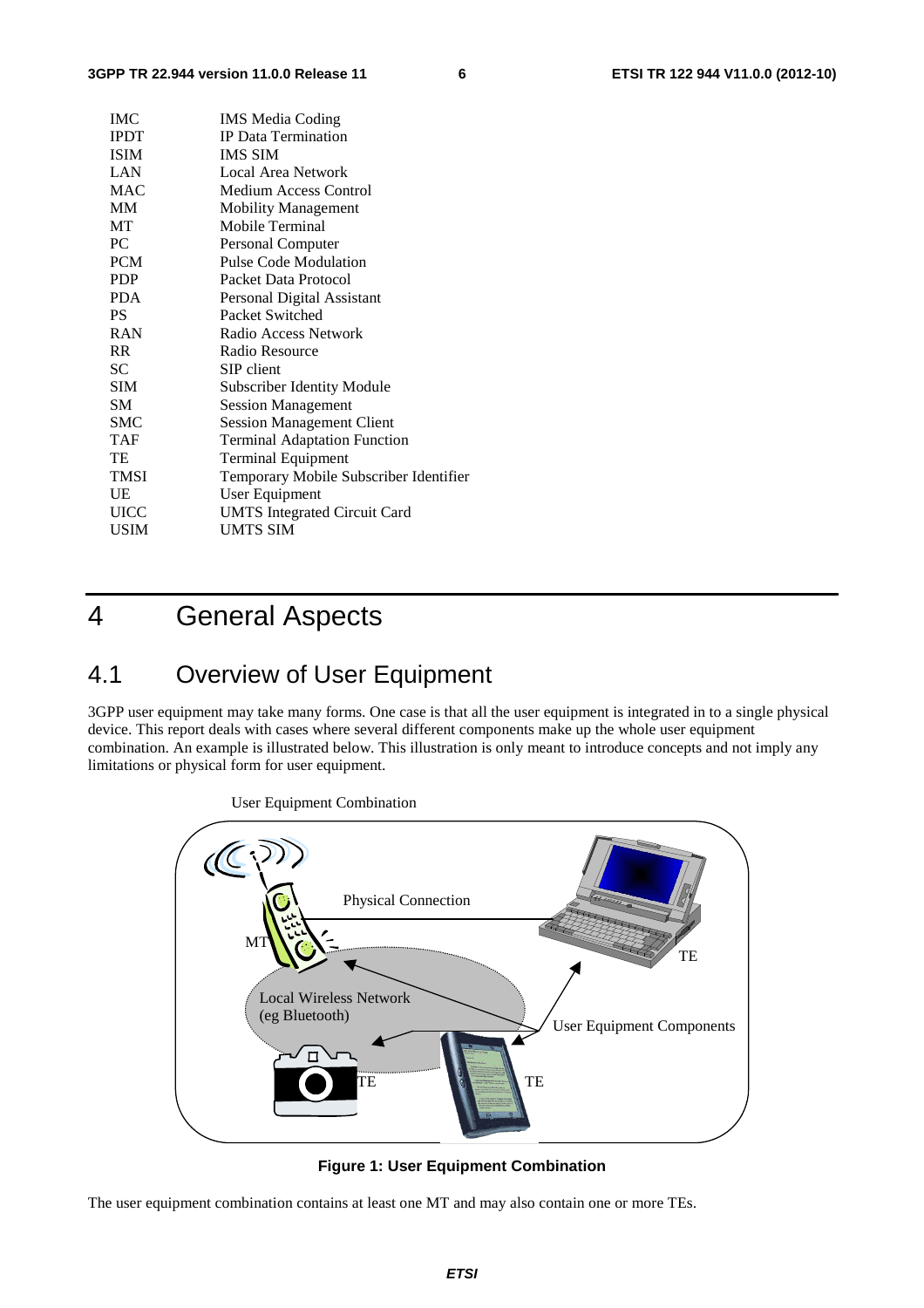| <b>IMC</b>  | <b>IMS</b> Media Coding                |
|-------------|----------------------------------------|
| <b>IPDT</b> | <b>IP</b> Data Termination             |
| <b>ISIM</b> | <b>IMS SIM</b>                         |
| LAN         | Local Area Network                     |
| <b>MAC</b>  | <b>Medium Access Control</b>           |
| MМ          | <b>Mobility Management</b>             |
| МT          | Mobile Terminal                        |
| PС          | Personal Computer                      |
| <b>PCM</b>  | <b>Pulse Code Modulation</b>           |
| <b>PDP</b>  | Packet Data Protocol                   |
| <b>PDA</b>  | Personal Digital Assistant             |
| PS.         | Packet Switched                        |
| <b>RAN</b>  | Radio Access Network                   |
| <b>RR</b>   | Radio Resource                         |
| SС          | SIP client                             |
| SIM         | <b>Subscriber Identity Module</b>      |
| SМ          | <b>Session Management</b>              |
| SMC         | <b>Session Management Client</b>       |
| <b>TAF</b>  | <b>Terminal Adaptation Function</b>    |
| TE          | <b>Terminal Equipment</b>              |
| <b>TMSI</b> | Temporary Mobile Subscriber Identifier |
| UE          | User Equipment                         |
| UICC        | <b>UMTS</b> Integrated Circuit Card    |
| <b>USIM</b> | UMTS SIM                               |
|             |                                        |

### 4 General Aspects

### 4.1 Overview of User Equipment

3GPP user equipment may take many forms. One case is that all the user equipment is integrated in to a single physical device. This report deals with cases where several different components make up the whole user equipment combination. An example is illustrated below. This illustration is only meant to introduce concepts and not imply any limitations or physical form for user equipment.



**Figure 1: User Equipment Combination** 

The user equipment combination contains at least one MT and may also contain one or more TEs.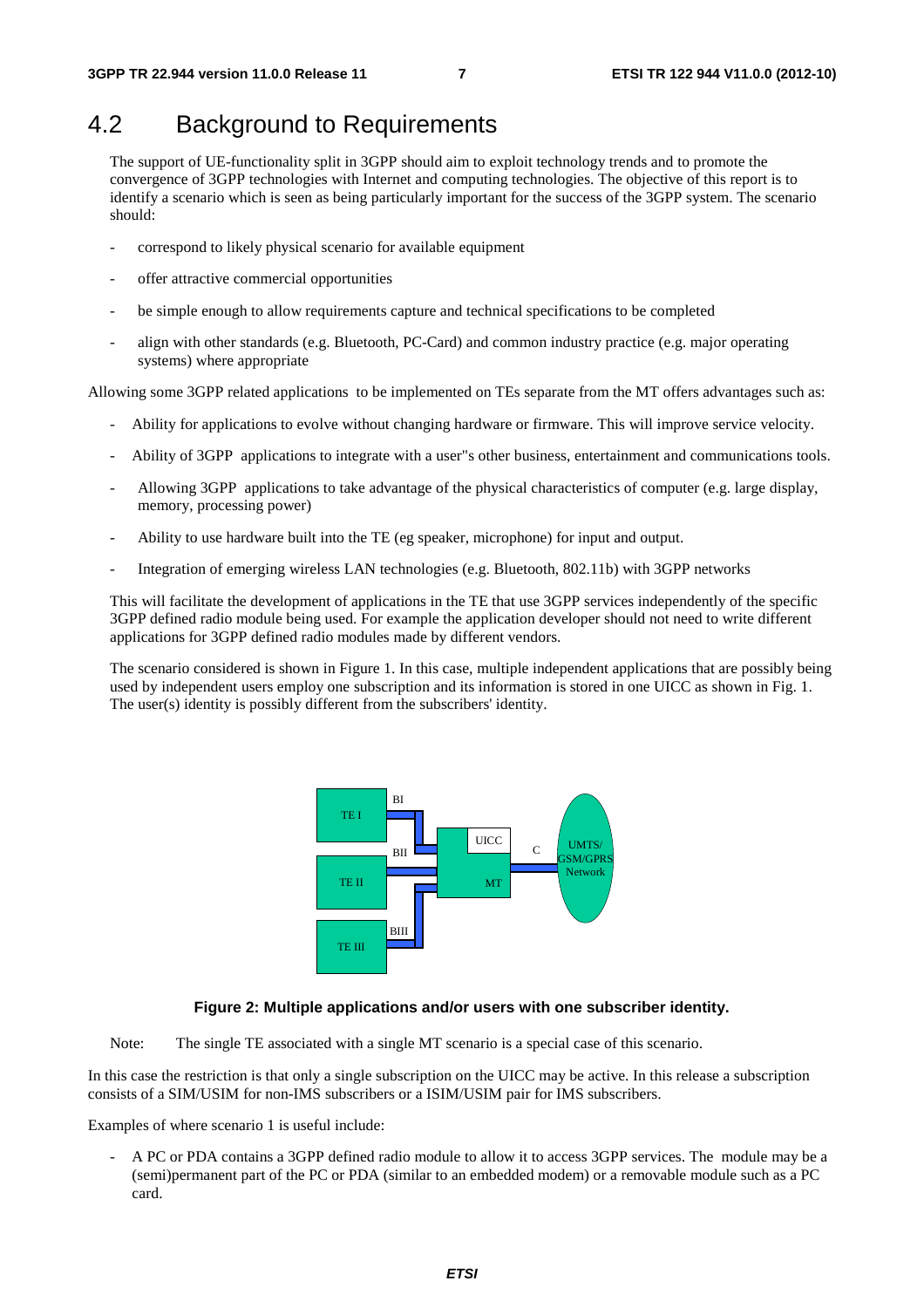### 4.2 Background to Requirements

The support of UE-functionality split in 3GPP should aim to exploit technology trends and to promote the convergence of 3GPP technologies with Internet and computing technologies. The objective of this report is to identify a scenario which is seen as being particularly important for the success of the 3GPP system. The scenario should:

- correspond to likely physical scenario for available equipment
- offer attractive commercial opportunities
- be simple enough to allow requirements capture and technical specifications to be completed
- align with other standards (e.g. Bluetooth, PC-Card) and common industry practice (e.g. major operating systems) where appropriate

Allowing some 3GPP related applications to be implemented on TEs separate from the MT offers advantages such as:

- Ability for applications to evolve without changing hardware or firmware. This will improve service velocity.
- Ability of 3GPP applications to integrate with a user"s other business, entertainment and communications tools.
- Allowing 3GPP applications to take advantage of the physical characteristics of computer (e.g. large display, memory, processing power)
- Ability to use hardware built into the TE (eg speaker, microphone) for input and output.
- Integration of emerging wireless LAN technologies (e.g. Bluetooth, 802.11b) with 3GPP networks

This will facilitate the development of applications in the TE that use 3GPP services independently of the specific 3GPP defined radio module being used. For example the application developer should not need to write different applications for 3GPP defined radio modules made by different vendors.

The scenario considered is shown in Figure 1. In this case, multiple independent applications that are possibly being used by independent users employ one subscription and its information is stored in one UICC as shown in Fig. 1. The user(s) identity is possibly different from the subscribers' identity.



#### **Figure 2: Multiple applications and/or users with one subscriber identity.**

Note: The single TE associated with a single MT scenario is a special case of this scenario.

In this case the restriction is that only a single subscription on the UICC may be active. In this release a subscription consists of a SIM/USIM for non-IMS subscribers or a ISIM/USIM pair for IMS subscribers.

Examples of where scenario 1 is useful include:

- A PC or PDA contains a 3GPP defined radio module to allow it to access 3GPP services. The module may be a (semi)permanent part of the PC or PDA (similar to an embedded modem) or a removable module such as a PC card.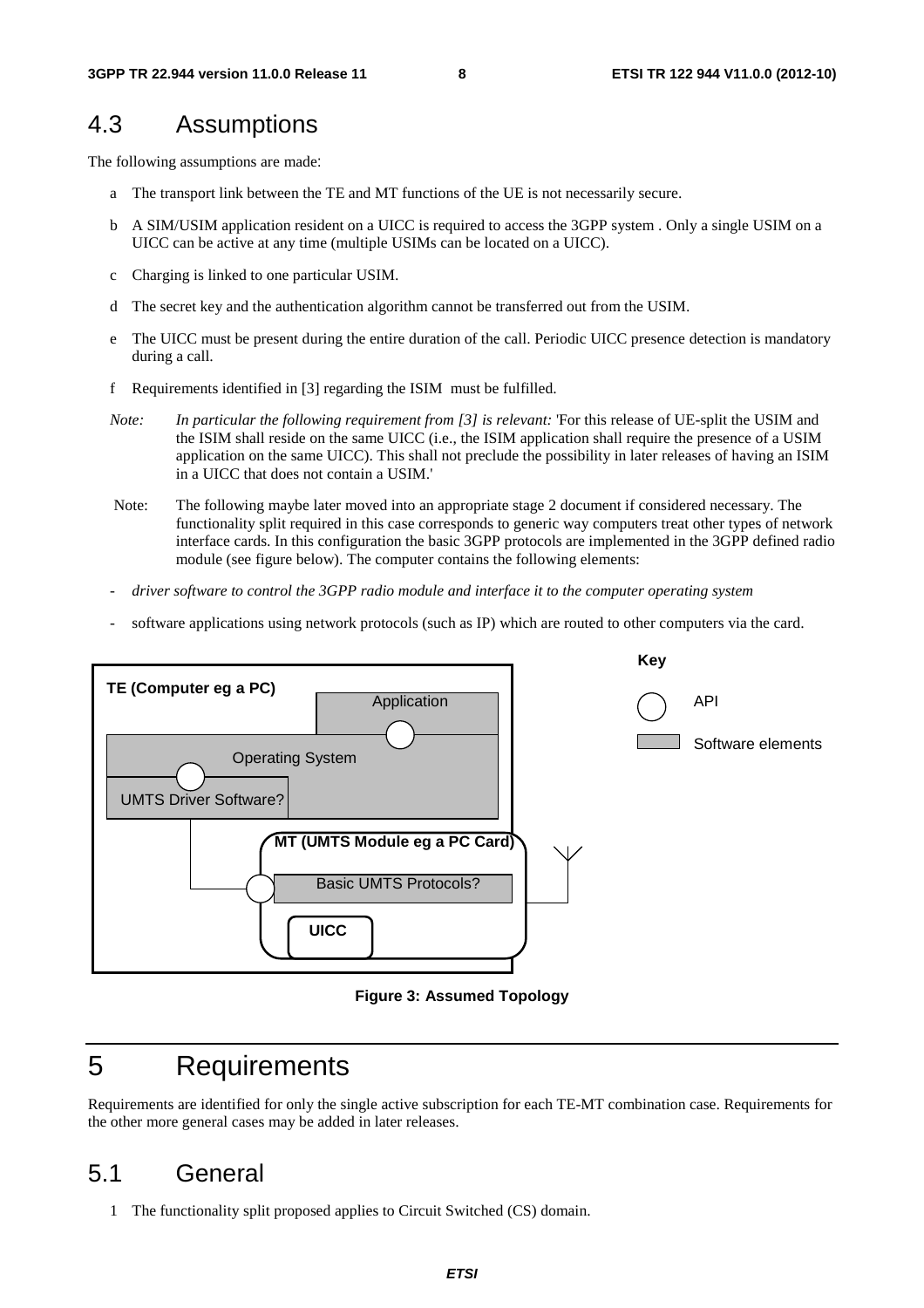### 4.3 Assumptions

The following assumptions are made:

- a The transport link between the TE and MT functions of the UE is not necessarily secure.
- b A SIM/USIM application resident on a UICC is required to access the 3GPP system . Only a single USIM on a UICC can be active at any time (multiple USIMs can be located on a UICC).
- c Charging is linked to one particular USIM.
- d The secret key and the authentication algorithm cannot be transferred out from the USIM.
- e The UICC must be present during the entire duration of the call. Periodic UICC presence detection is mandatory during a call.
- f Requirements identified in [3] regarding the ISIM must be fulfilled.
- *Note: In particular the following requirement from [3] is relevant:* 'For this release of UE-split the USIM and the ISIM shall reside on the same UICC (i.e., the ISIM application shall require the presence of a USIM application on the same UICC). This shall not preclude the possibility in later releases of having an ISIM in a UICC that does not contain a USIM.'
- Note: The following maybe later moved into an appropriate stage 2 document if considered necessary. The functionality split required in this case corresponds to generic way computers treat other types of network interface cards. In this configuration the basic 3GPP protocols are implemented in the 3GPP defined radio module (see figure below). The computer contains the following elements:
- *driver software to control the 3GPP radio module and interface it to the computer operating system*
- software applications using network protocols (such as IP) which are routed to other computers via the card.



**Figure 3: Assumed Topology** 

### 5 Requirements

Requirements are identified for only the single active subscription for each TE-MT combination case. Requirements for the other more general cases may be added in later releases.

### 5.1 General

1 The functionality split proposed applies to Circuit Switched (CS) domain.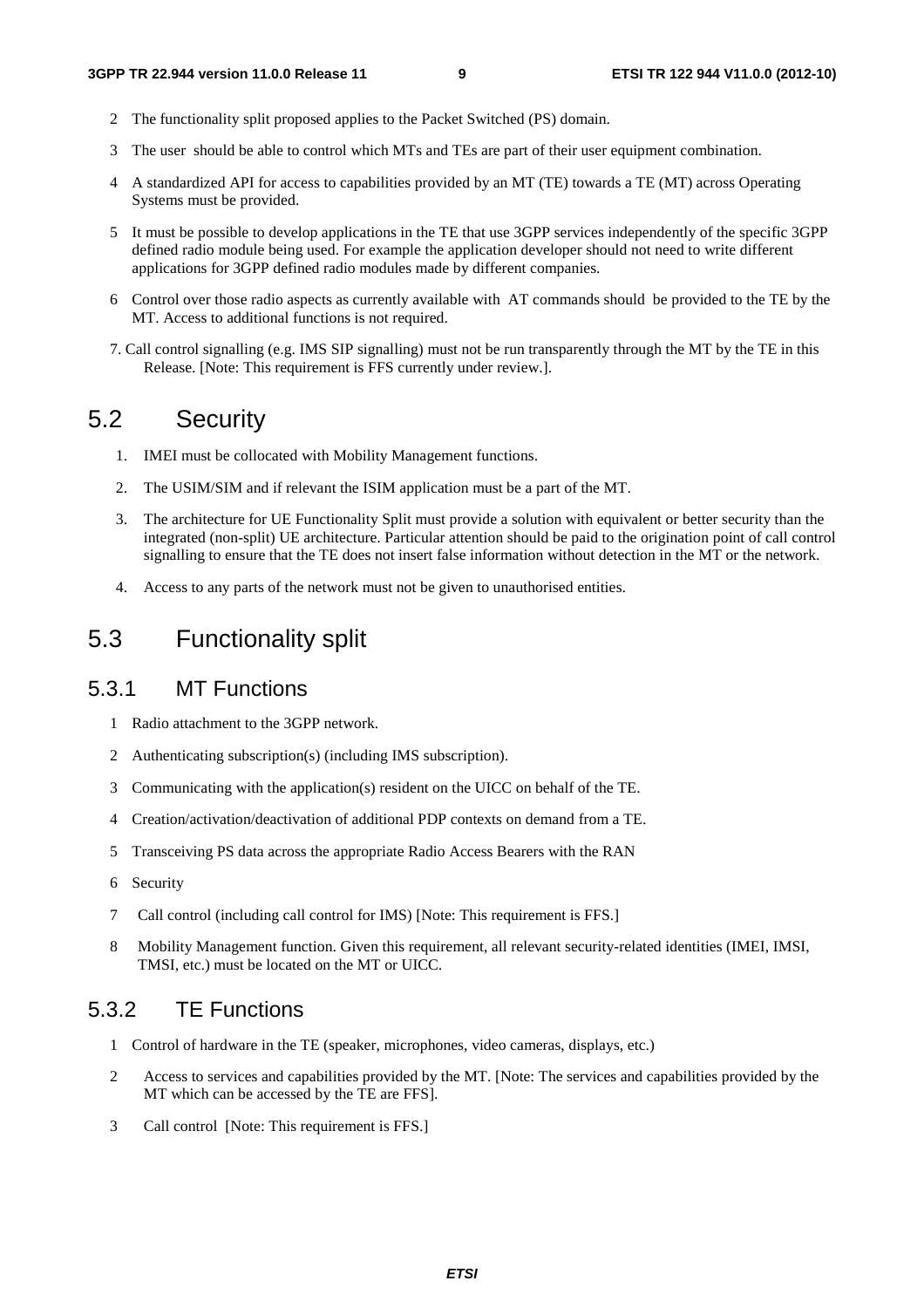- 2 The functionality split proposed applies to the Packet Switched (PS) domain.
- 3 The user should be able to control which MTs and TEs are part of their user equipment combination.
- 4 A standardized API for access to capabilities provided by an MT (TE) towards a TE (MT) across Operating Systems must be provided.
- 5 It must be possible to develop applications in the TE that use 3GPP services independently of the specific 3GPP defined radio module being used. For example the application developer should not need to write different applications for 3GPP defined radio modules made by different companies.
- 6 Control over those radio aspects as currently available with AT commands should be provided to the TE by the MT. Access to additional functions is not required.
- 7. Call control signalling (e.g. IMS SIP signalling) must not be run transparently through the MT by the TE in this Release. [Note: This requirement is FFS currently under review.].

### 5.2 Security

- 1. IMEI must be collocated with Mobility Management functions.
- 2. The USIM/SIM and if relevant the ISIM application must be a part of the MT.
- 3. The architecture for UE Functionality Split must provide a solution with equivalent or better security than the integrated (non-split) UE architecture. Particular attention should be paid to the origination point of call control signalling to ensure that the TE does not insert false information without detection in the MT or the network.
- 4. Access to any parts of the network must not be given to unauthorised entities.

### 5.3 Functionality split

### 5.3.1 MT Functions

- 1 Radio attachment to the 3GPP network.
- 2 Authenticating subscription(s) (including IMS subscription).
- 3 Communicating with the application(s) resident on the UICC on behalf of the TE.
- 4 Creation/activation/deactivation of additional PDP contexts on demand from a TE.
- 5 Transceiving PS data across the appropriate Radio Access Bearers with the RAN
- 6 Security
- 7 Call control (including call control for IMS) [Note: This requirement is FFS.]
- 8 Mobility Management function. Given this requirement, all relevant security-related identities (IMEI, IMSI, TMSI, etc.) must be located on the MT or UICC.

### 5.3.2 TE Functions

- 1 Control of hardware in the TE (speaker, microphones, video cameras, displays, etc.)
- 2 Access to services and capabilities provided by the MT. [Note: The services and capabilities provided by the MT which can be accessed by the TE are FFS].
- 3 Call control [Note: This requirement is FFS.]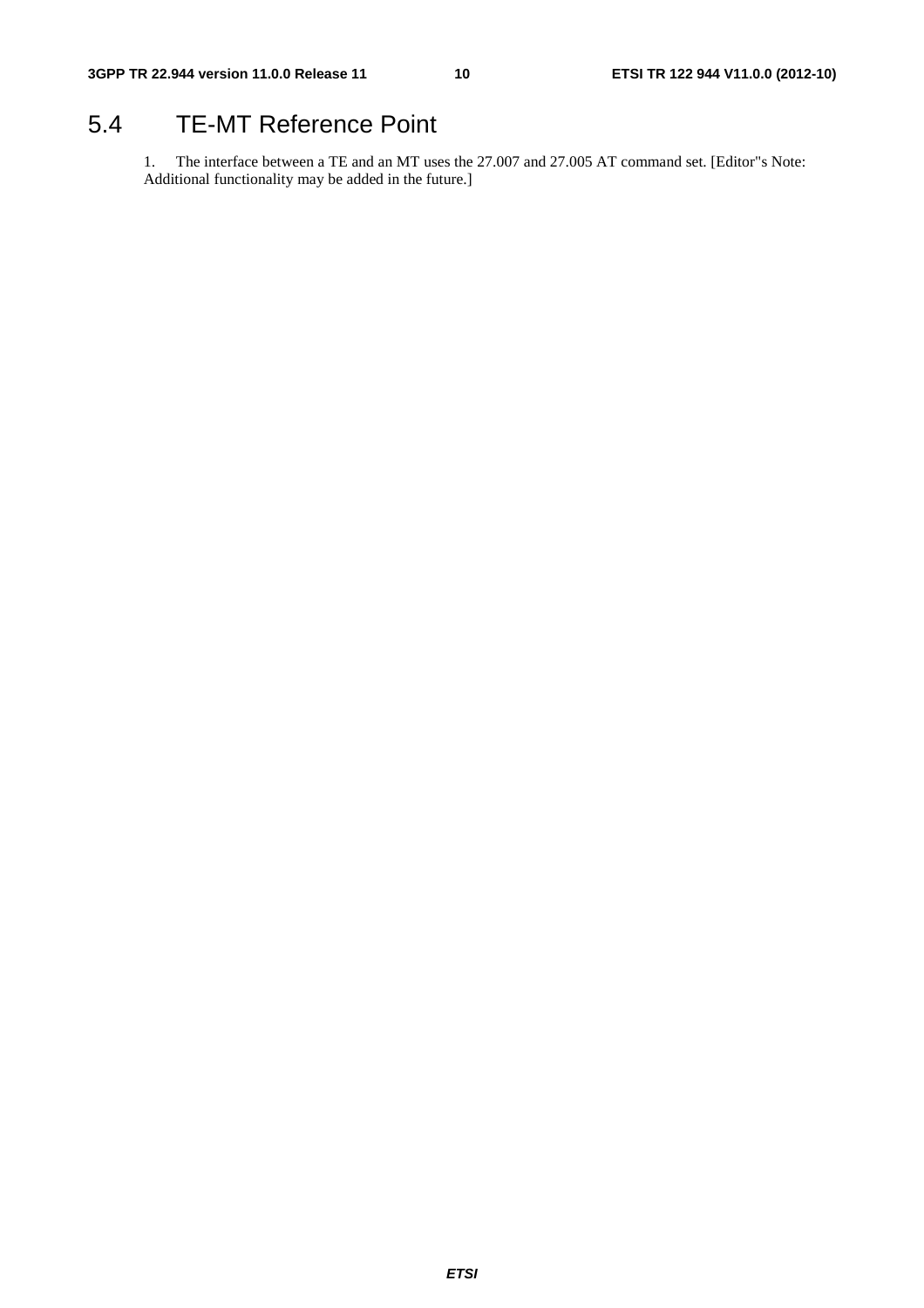### 5.4 TE-MT Reference Point

1. The interface between a TE and an MT uses the 27.007 and 27.005 AT command set. [Editor"s Note: Additional functionality may be added in the future.]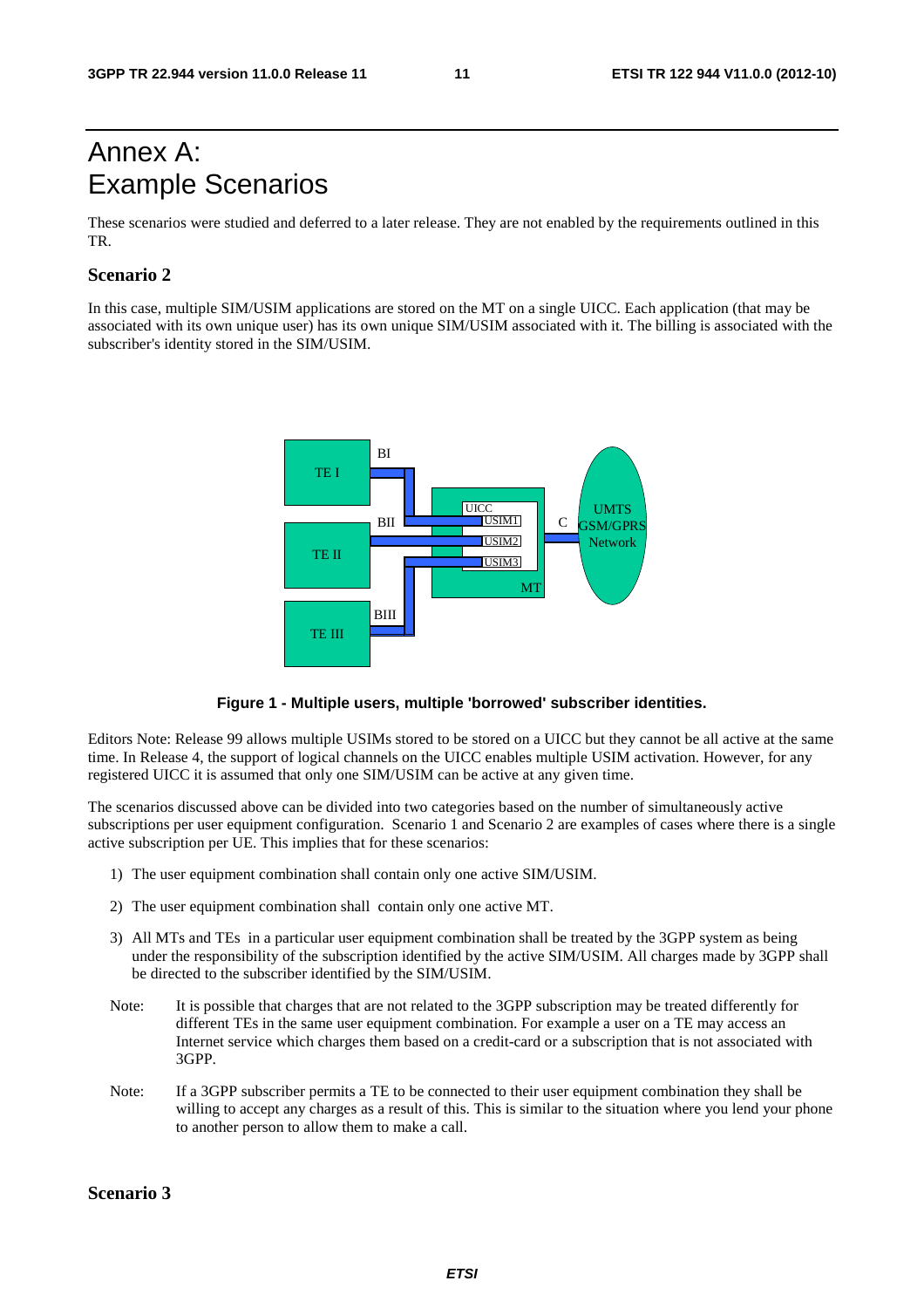### Annex A: Example Scenarios

These scenarios were studied and deferred to a later release. They are not enabled by the requirements outlined in this TR.

#### **Scenario 2**

In this case, multiple SIM/USIM applications are stored on the MT on a single UICC. Each application (that may be associated with its own unique user) has its own unique SIM/USIM associated with it. The billing is associated with the subscriber's identity stored in the SIM/USIM.



**Figure 1 - Multiple users, multiple 'borrowed' subscriber identities.** 

Editors Note: Release 99 allows multiple USIMs stored to be stored on a UICC but they cannot be all active at the same time. In Release 4, the support of logical channels on the UICC enables multiple USIM activation. However, for any registered UICC it is assumed that only one SIM/USIM can be active at any given time.

The scenarios discussed above can be divided into two categories based on the number of simultaneously active subscriptions per user equipment configuration. Scenario 1 and Scenario 2 are examples of cases where there is a single active subscription per UE. This implies that for these scenarios:

- 1) The user equipment combination shall contain only one active SIM/USIM.
- 2) The user equipment combination shall contain only one active MT.
- 3) All MTs and TEs in a particular user equipment combination shall be treated by the 3GPP system as being under the responsibility of the subscription identified by the active SIM/USIM. All charges made by 3GPP shall be directed to the subscriber identified by the SIM/USIM.
- Note: It is possible that charges that are not related to the 3GPP subscription may be treated differently for different TEs in the same user equipment combination. For example a user on a TE may access an Internet service which charges them based on a credit-card or a subscription that is not associated with 3GPP.
- Note: If a 3GPP subscriber permits a TE to be connected to their user equipment combination they shall be willing to accept any charges as a result of this. This is similar to the situation where you lend your phone to another person to allow them to make a call.

#### **Scenario 3**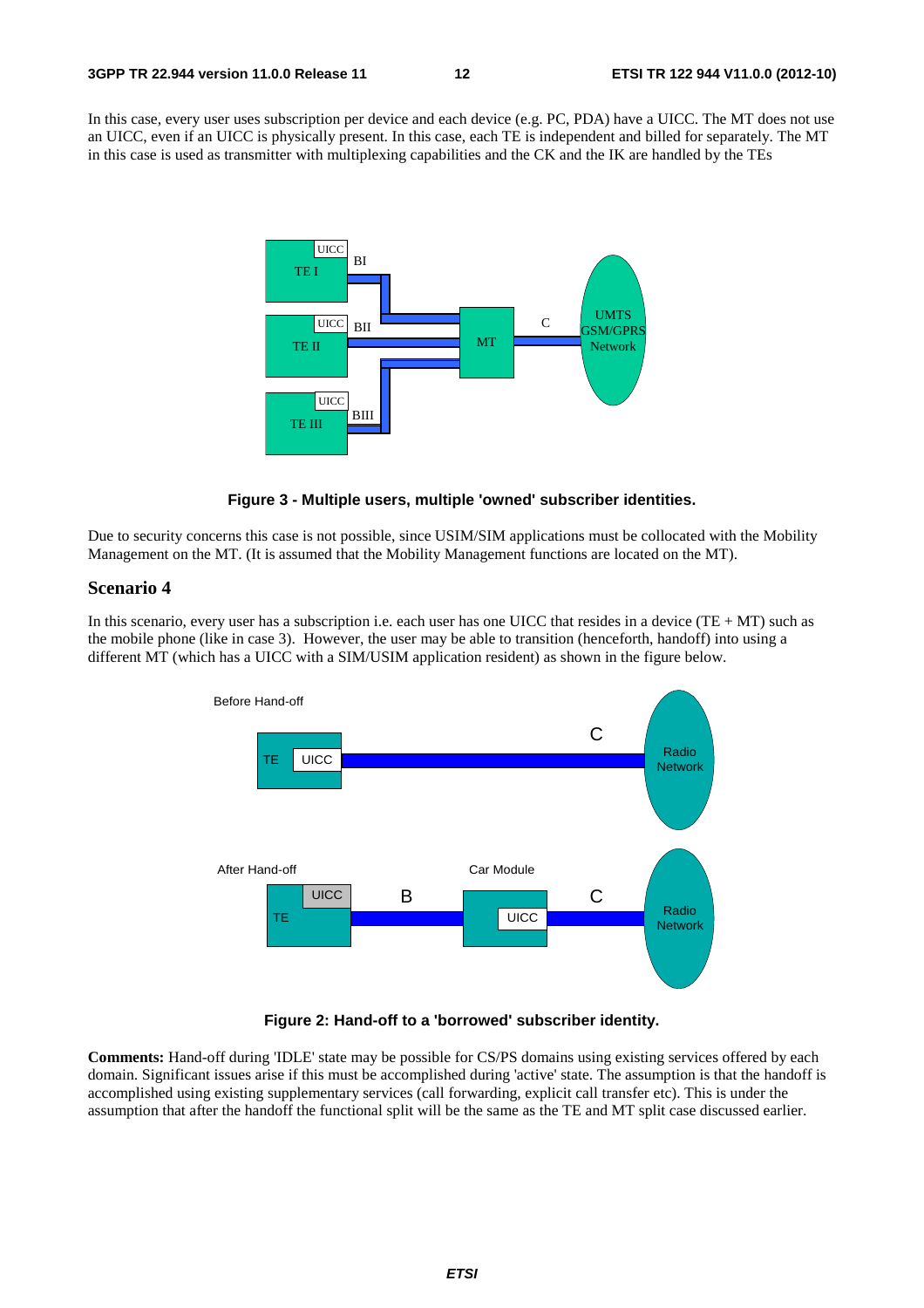In this case, every user uses subscription per device and each device (e.g. PC, PDA) have a UICC. The MT does not use an UICC, even if an UICC is physically present. In this case, each TE is independent and billed for separately. The MT in this case is used as transmitter with multiplexing capabilities and the CK and the IK are handled by the TEs





Due to security concerns this case is not possible, since USIM/SIM applications must be collocated with the Mobility Management on the MT. (It is assumed that the Mobility Management functions are located on the MT).

#### **Scenario 4**

In this scenario, every user has a subscription i.e. each user has one UICC that resides in a device  $(TE + MT)$  such as the mobile phone (like in case 3). However, the user may be able to transition (henceforth, handoff) into using a different MT (which has a UICC with a SIM/USIM application resident) as shown in the figure below.



**Figure 2: Hand-off to a 'borrowed' subscriber identity.** 

**Comments:** Hand-off during 'IDLE' state may be possible for CS/PS domains using existing services offered by each domain. Significant issues arise if this must be accomplished during 'active' state. The assumption is that the handoff is accomplished using existing supplementary services (call forwarding, explicit call transfer etc). This is under the assumption that after the handoff the functional split will be the same as the TE and MT split case discussed earlier.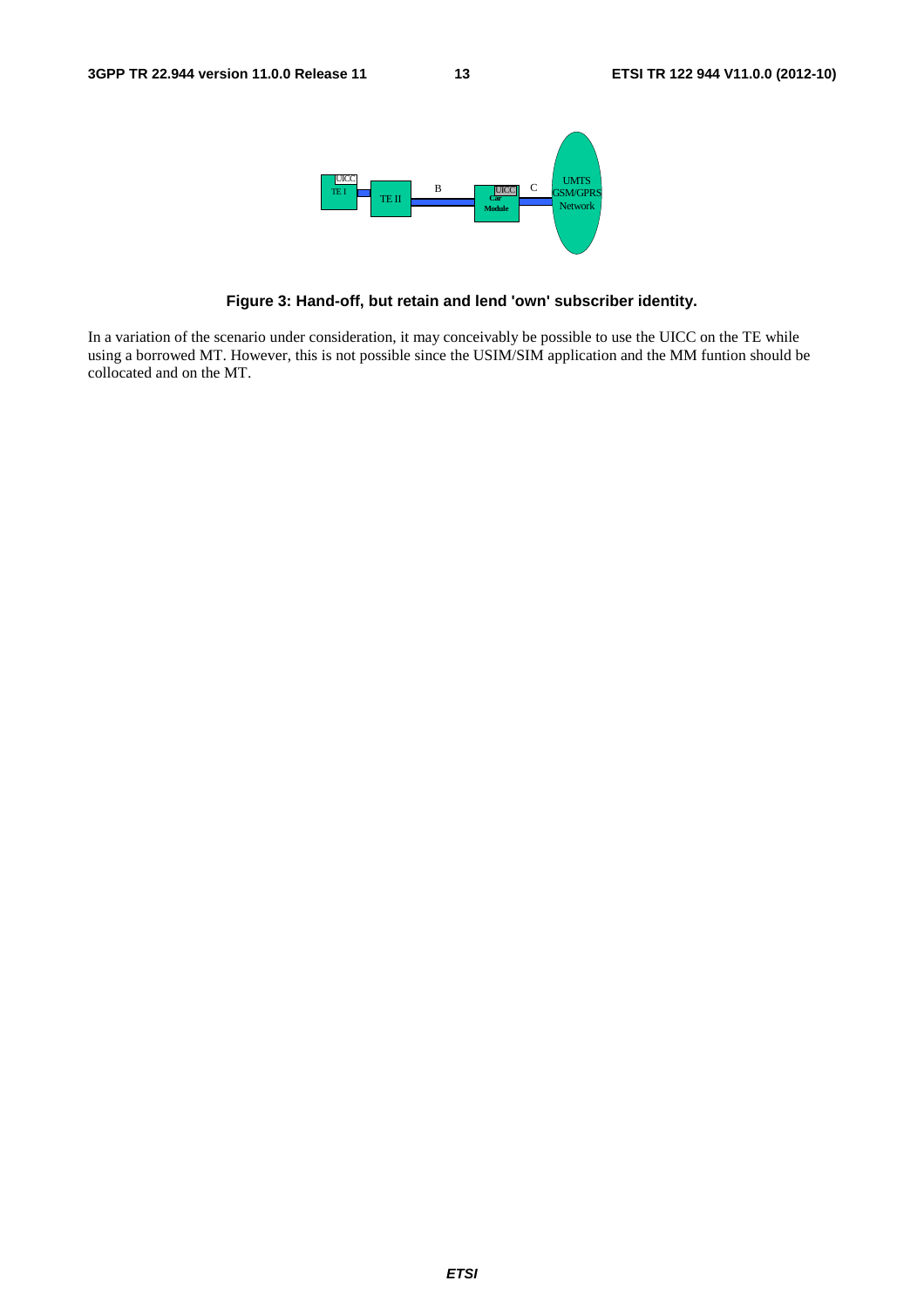

**Figure 3: Hand-off, but retain and lend 'own' subscriber identity.** 

In a variation of the scenario under consideration, it may conceivably be possible to use the UICC on the TE while using a borrowed MT. However, this is not possible since the USIM/SIM application and the MM funtion should be collocated and on the MT.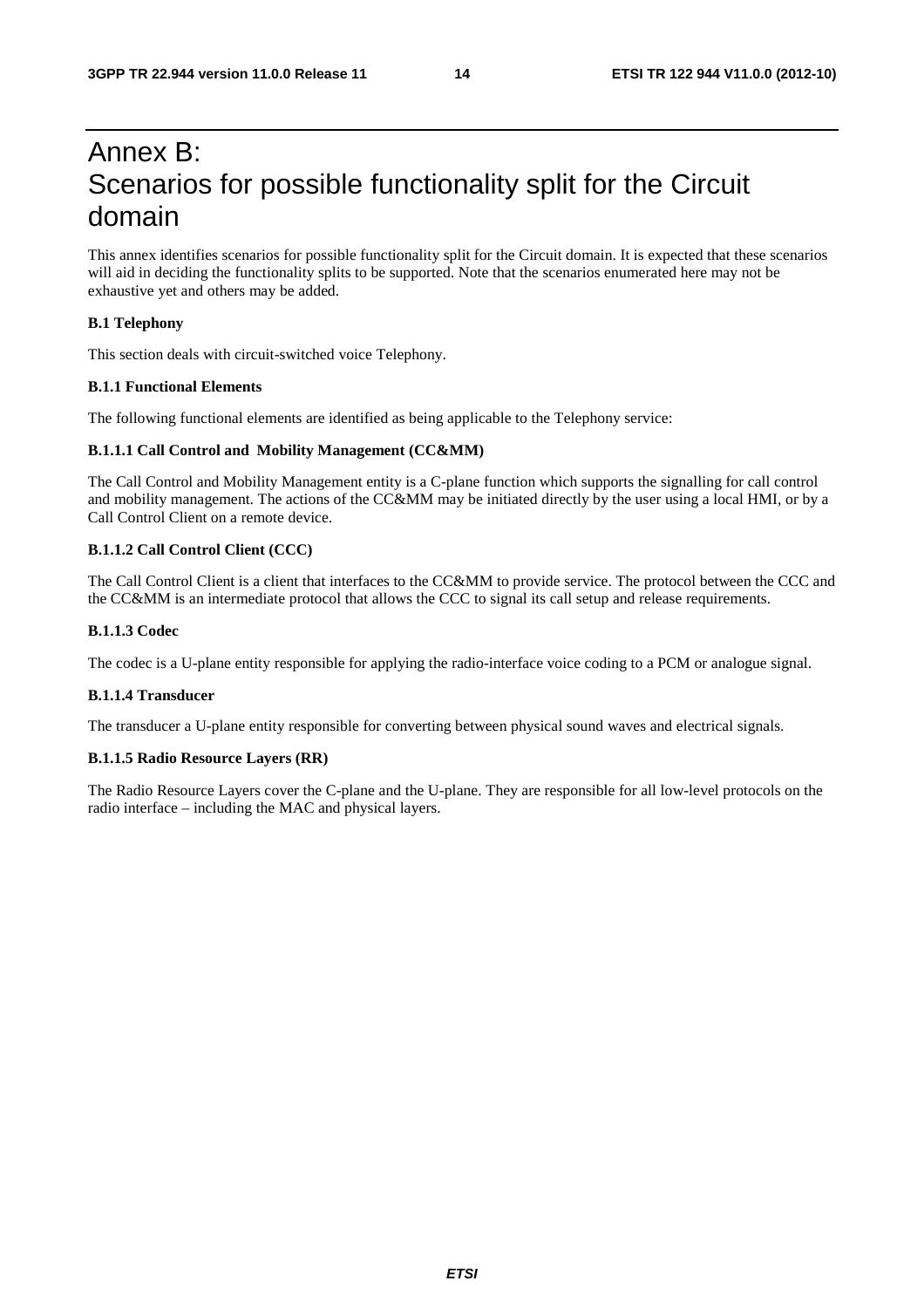### Annex B: Scenarios for possible functionality split for the Circuit domain

This annex identifies scenarios for possible functionality split for the Circuit domain. It is expected that these scenarios will aid in deciding the functionality splits to be supported. Note that the scenarios enumerated here may not be exhaustive yet and others may be added.

#### **B.1 Telephony**

This section deals with circuit-switched voice Telephony.

#### **B.1.1 Functional Elements**

The following functional elements are identified as being applicable to the Telephony service:

#### **B.1.1.1 Call Control and Mobility Management (CC&MM)**

The Call Control and Mobility Management entity is a C-plane function which supports the signalling for call control and mobility management. The actions of the CC&MM may be initiated directly by the user using a local HMI, or by a Call Control Client on a remote device.

#### **B.1.1.2 Call Control Client (CCC)**

The Call Control Client is a client that interfaces to the CC&MM to provide service. The protocol between the CCC and the CC&MM is an intermediate protocol that allows the CCC to signal its call setup and release requirements.

#### **B.1.1.3 Codec**

The codec is a U-plane entity responsible for applying the radio-interface voice coding to a PCM or analogue signal.

#### **B.1.1.4 Transducer**

The transducer a U-plane entity responsible for converting between physical sound waves and electrical signals.

#### **B.1.1.5 Radio Resource Layers (RR)**

The Radio Resource Layers cover the C-plane and the U-plane. They are responsible for all low-level protocols on the radio interface – including the MAC and physical layers.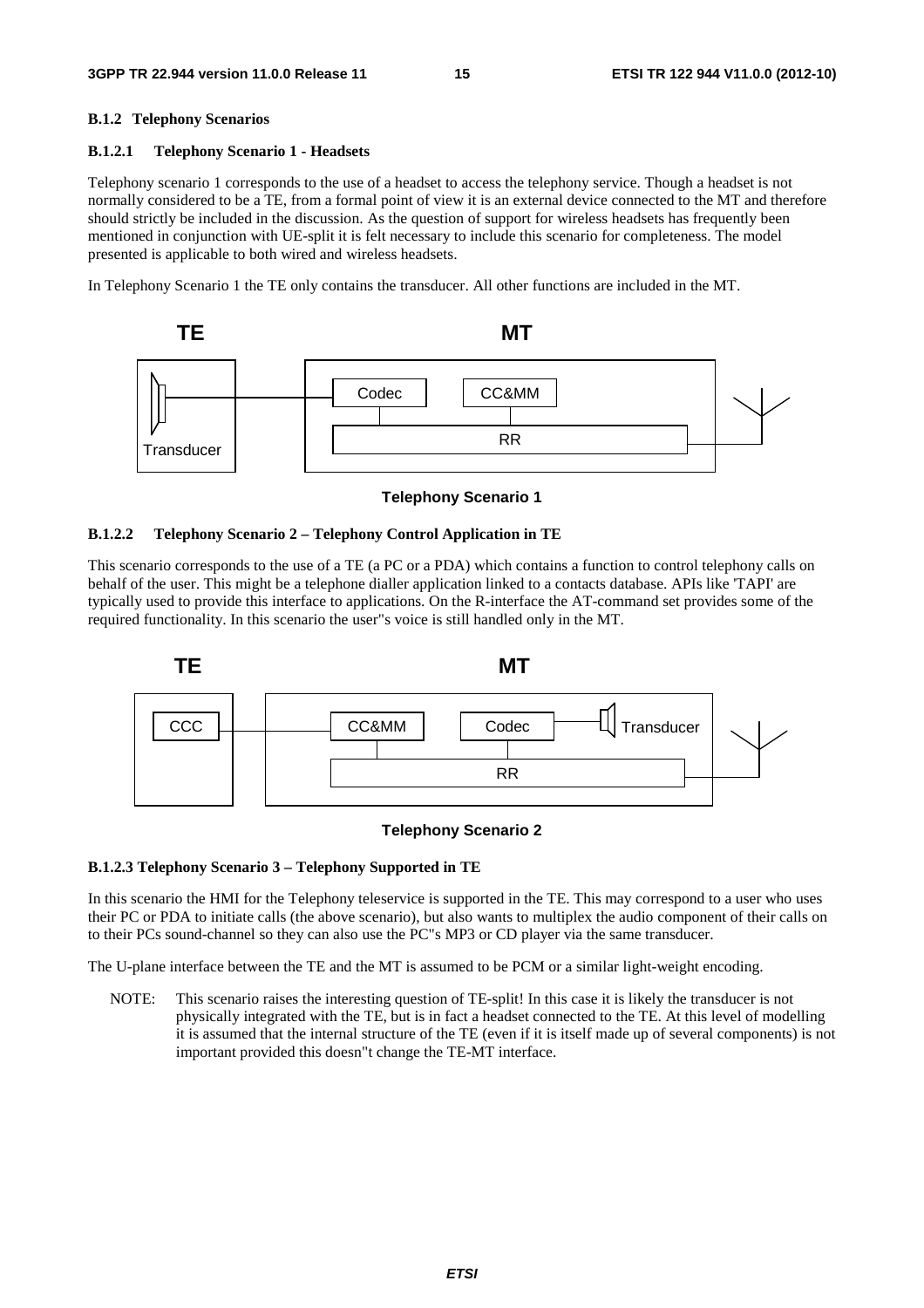#### **B.1.2 Telephony Scenarios**

#### **B.1.2.1 Telephony Scenario 1 - Headsets**

Telephony scenario 1 corresponds to the use of a headset to access the telephony service. Though a headset is not normally considered to be a TE, from a formal point of view it is an external device connected to the MT and therefore should strictly be included in the discussion. As the question of support for wireless headsets has frequently been mentioned in conjunction with UE-split it is felt necessary to include this scenario for completeness. The model presented is applicable to both wired and wireless headsets.

In Telephony Scenario 1 the TE only contains the transducer. All other functions are included in the MT.



**Telephony Scenario 1** 

#### **B.1.2.2 Telephony Scenario 2 – Telephony Control Application in TE**

This scenario corresponds to the use of a TE (a PC or a PDA) which contains a function to control telephony calls on behalf of the user. This might be a telephone dialler application linked to a contacts database. APIs like 'TAPI' are typically used to provide this interface to applications. On the R-interface the AT-command set provides some of the required functionality. In this scenario the user"s voice is still handled only in the MT.



#### **Telephony Scenario 2**

#### **B.1.2.3 Telephony Scenario 3 – Telephony Supported in TE**

In this scenario the HMI for the Telephony teleservice is supported in the TE. This may correspond to a user who uses their PC or PDA to initiate calls (the above scenario), but also wants to multiplex the audio component of their calls on to their PCs sound-channel so they can also use the PC"s MP3 or CD player via the same transducer.

The U-plane interface between the TE and the MT is assumed to be PCM or a similar light-weight encoding.

NOTE: This scenario raises the interesting question of TE-split! In this case it is likely the transducer is not physically integrated with the TE, but is in fact a headset connected to the TE. At this level of modelling it is assumed that the internal structure of the TE (even if it is itself made up of several components) is not important provided this doesn"t change the TE-MT interface.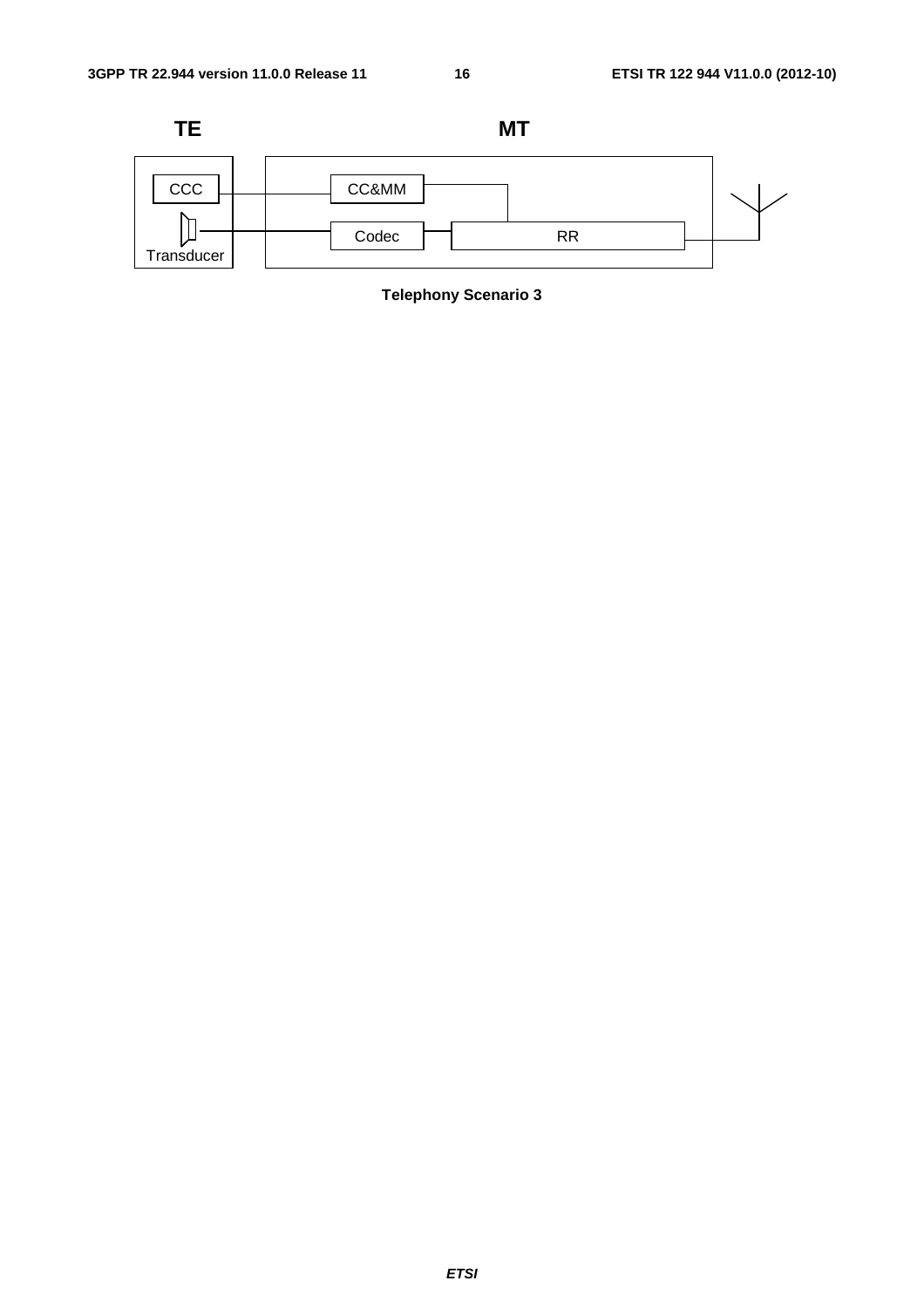

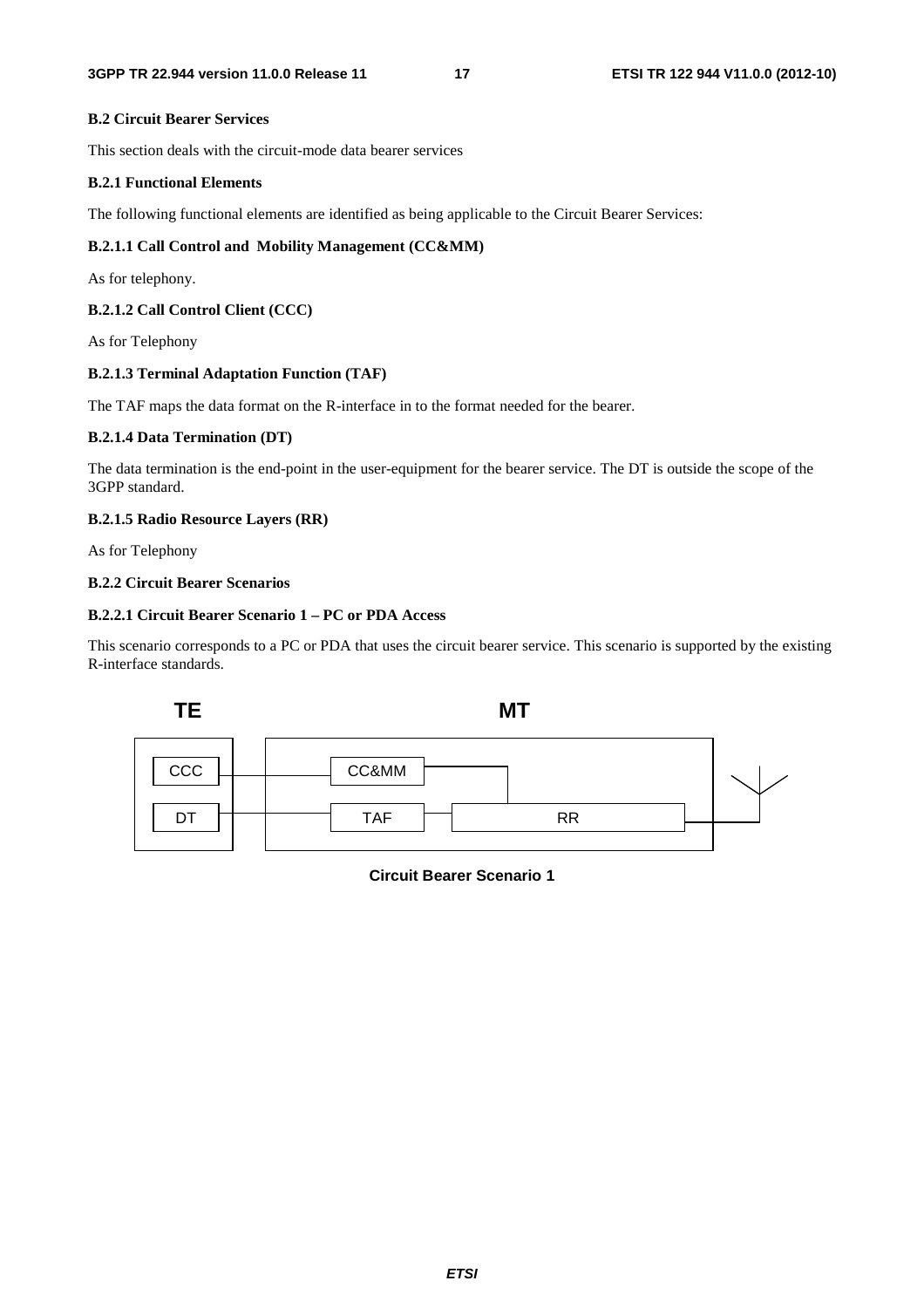#### **B.2 Circuit Bearer Services**

This section deals with the circuit-mode data bearer services

#### **B.2.1 Functional Elements**

The following functional elements are identified as being applicable to the Circuit Bearer Services:

#### **B.2.1.1 Call Control and Mobility Management (CC&MM)**

As for telephony.

#### **B.2.1.2 Call Control Client (CCC)**

As for Telephony

#### **B.2.1.3 Terminal Adaptation Function (TAF)**

The TAF maps the data format on the R-interface in to the format needed for the bearer.

#### **B.2.1.4 Data Termination (DT)**

The data termination is the end-point in the user-equipment for the bearer service. The DT is outside the scope of the 3GPP standard.

#### **B.2.1.5 Radio Resource Layers (RR)**

As for Telephony

#### **B.2.2 Circuit Bearer Scenarios**

#### **B.2.2.1 Circuit Bearer Scenario 1 – PC or PDA Access**

This scenario corresponds to a PC or PDA that uses the circuit bearer service. This scenario is supported by the existing R-interface standards.



**Circuit Bearer Scenario 1**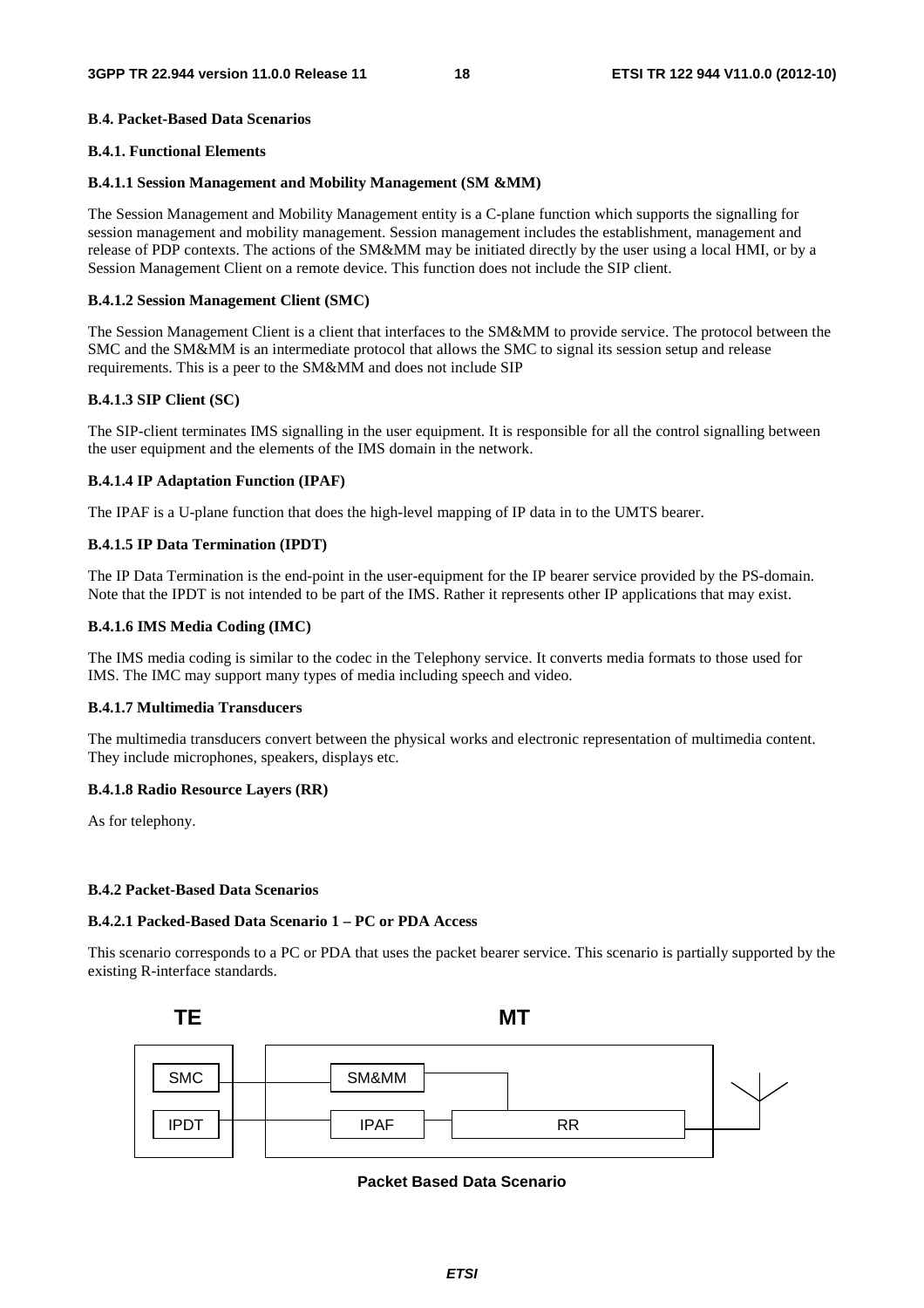#### **B**.**4. Packet-Based Data Scenarios**

#### **B.4.1. Functional Elements**

#### **B.4.1.1 Session Management and Mobility Management (SM &MM)**

The Session Management and Mobility Management entity is a C-plane function which supports the signalling for session management and mobility management. Session management includes the establishment, management and release of PDP contexts. The actions of the SM&MM may be initiated directly by the user using a local HMI, or by a Session Management Client on a remote device. This function does not include the SIP client.

#### **B.4.1.2 Session Management Client (SMC)**

The Session Management Client is a client that interfaces to the SM&MM to provide service. The protocol between the SMC and the SM&MM is an intermediate protocol that allows the SMC to signal its session setup and release requirements. This is a peer to the SM&MM and does not include SIP

#### **B.4.1.3 SIP Client (SC)**

The SIP-client terminates IMS signalling in the user equipment. It is responsible for all the control signalling between the user equipment and the elements of the IMS domain in the network.

#### **B.4.1.4 IP Adaptation Function (IPAF)**

The IPAF is a U-plane function that does the high-level mapping of IP data in to the UMTS bearer.

#### **B.4.1.5 IP Data Termination (IPDT)**

The IP Data Termination is the end-point in the user-equipment for the IP bearer service provided by the PS-domain. Note that the IPDT is not intended to be part of the IMS. Rather it represents other IP applications that may exist.

#### **B.4.1.6 IMS Media Coding (IMC)**

The IMS media coding is similar to the codec in the Telephony service. It converts media formats to those used for IMS. The IMC may support many types of media including speech and video.

#### **B.4.1.7 Multimedia Transducers**

The multimedia transducers convert between the physical works and electronic representation of multimedia content. They include microphones, speakers, displays etc.

#### **B.4.1.8 Radio Resource Layers (RR)**

As for telephony.

#### **B.4.2 Packet-Based Data Scenarios**

#### **B.4.2.1 Packed-Based Data Scenario 1 – PC or PDA Access**

This scenario corresponds to a PC or PDA that uses the packet bearer service. This scenario is partially supported by the existing R-interface standards.



**Packet Based Data Scenario**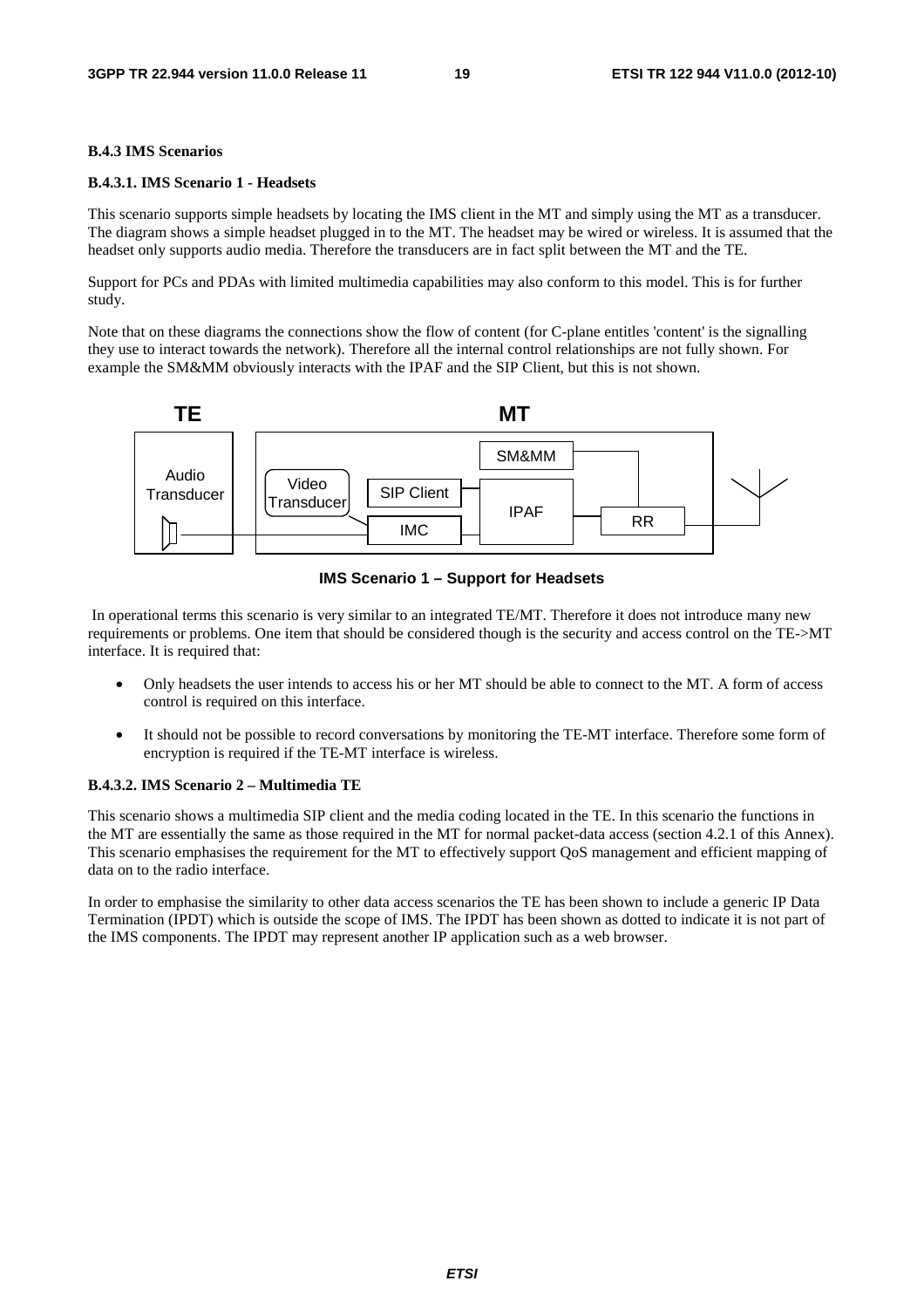#### **B.4.3 IMS Scenarios**

#### **B.4.3.1. IMS Scenario 1 - Headsets**

This scenario supports simple headsets by locating the IMS client in the MT and simply using the MT as a transducer. The diagram shows a simple headset plugged in to the MT. The headset may be wired or wireless. It is assumed that the headset only supports audio media. Therefore the transducers are in fact split between the MT and the TE.

Support for PCs and PDAs with limited multimedia capabilities may also conform to this model. This is for further study.

Note that on these diagrams the connections show the flow of content (for C-plane entitles 'content' is the signalling they use to interact towards the network). Therefore all the internal control relationships are not fully shown. For example the SM&MM obviously interacts with the IPAF and the SIP Client, but this is not shown.



**IMS Scenario 1 – Support for Headsets** 

 In operational terms this scenario is very similar to an integrated TE/MT. Therefore it does not introduce many new requirements or problems. One item that should be considered though is the security and access control on the TE->MT interface. It is required that:

- Only headsets the user intends to access his or her MT should be able to connect to the MT. A form of access control is required on this interface.
- It should not be possible to record conversations by monitoring the TE-MT interface. Therefore some form of encryption is required if the TE-MT interface is wireless.

#### **B.4.3.2. IMS Scenario 2 – Multimedia TE**

This scenario shows a multimedia SIP client and the media coding located in the TE. In this scenario the functions in the MT are essentially the same as those required in the MT for normal packet-data access (section 4.2.1 of this Annex). This scenario emphasises the requirement for the MT to effectively support QoS management and efficient mapping of data on to the radio interface.

In order to emphasise the similarity to other data access scenarios the TE has been shown to include a generic IP Data Termination (IPDT) which is outside the scope of IMS. The IPDT has been shown as dotted to indicate it is not part of the IMS components. The IPDT may represent another IP application such as a web browser.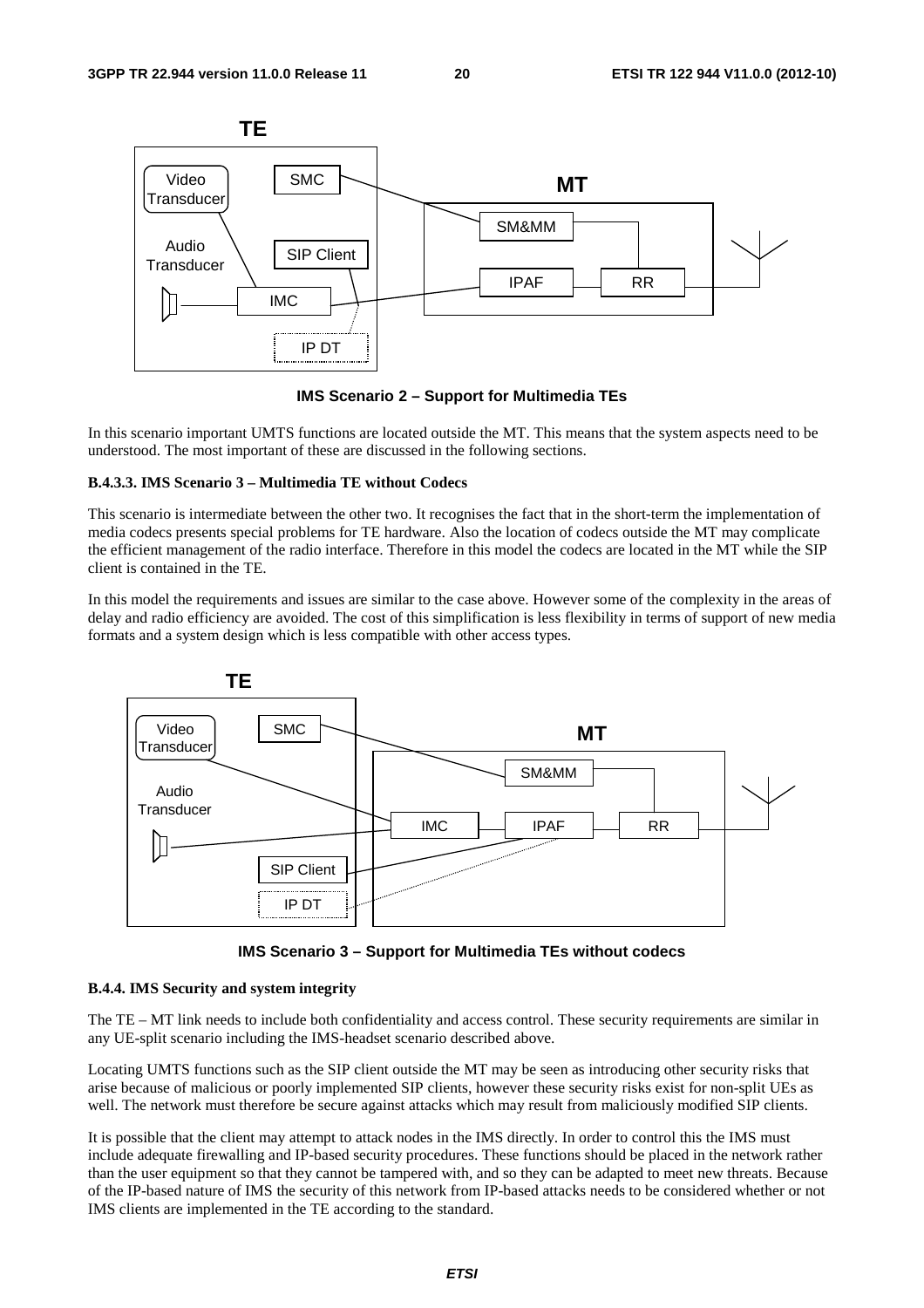

**IMS Scenario 2 – Support for Multimedia TEs** 

In this scenario important UMTS functions are located outside the MT. This means that the system aspects need to be understood. The most important of these are discussed in the following sections.

#### **B.4.3.3. IMS Scenario 3 – Multimedia TE without Codecs**

This scenario is intermediate between the other two. It recognises the fact that in the short-term the implementation of media codecs presents special problems for TE hardware. Also the location of codecs outside the MT may complicate the efficient management of the radio interface. Therefore in this model the codecs are located in the MT while the SIP client is contained in the TE.

In this model the requirements and issues are similar to the case above. However some of the complexity in the areas of delay and radio efficiency are avoided. The cost of this simplification is less flexibility in terms of support of new media formats and a system design which is less compatible with other access types.



**IMS Scenario 3 – Support for Multimedia TEs without codecs** 

#### **B.4.4. IMS Security and system integrity**

The TE – MT link needs to include both confidentiality and access control. These security requirements are similar in any UE-split scenario including the IMS-headset scenario described above.

Locating UMTS functions such as the SIP client outside the MT may be seen as introducing other security risks that arise because of malicious or poorly implemented SIP clients, however these security risks exist for non-split UEs as well. The network must therefore be secure against attacks which may result from maliciously modified SIP clients.

It is possible that the client may attempt to attack nodes in the IMS directly. In order to control this the IMS must include adequate firewalling and IP-based security procedures. These functions should be placed in the network rather than the user equipment so that they cannot be tampered with, and so they can be adapted to meet new threats. Because of the IP-based nature of IMS the security of this network from IP-based attacks needs to be considered whether or not IMS clients are implemented in the TE according to the standard.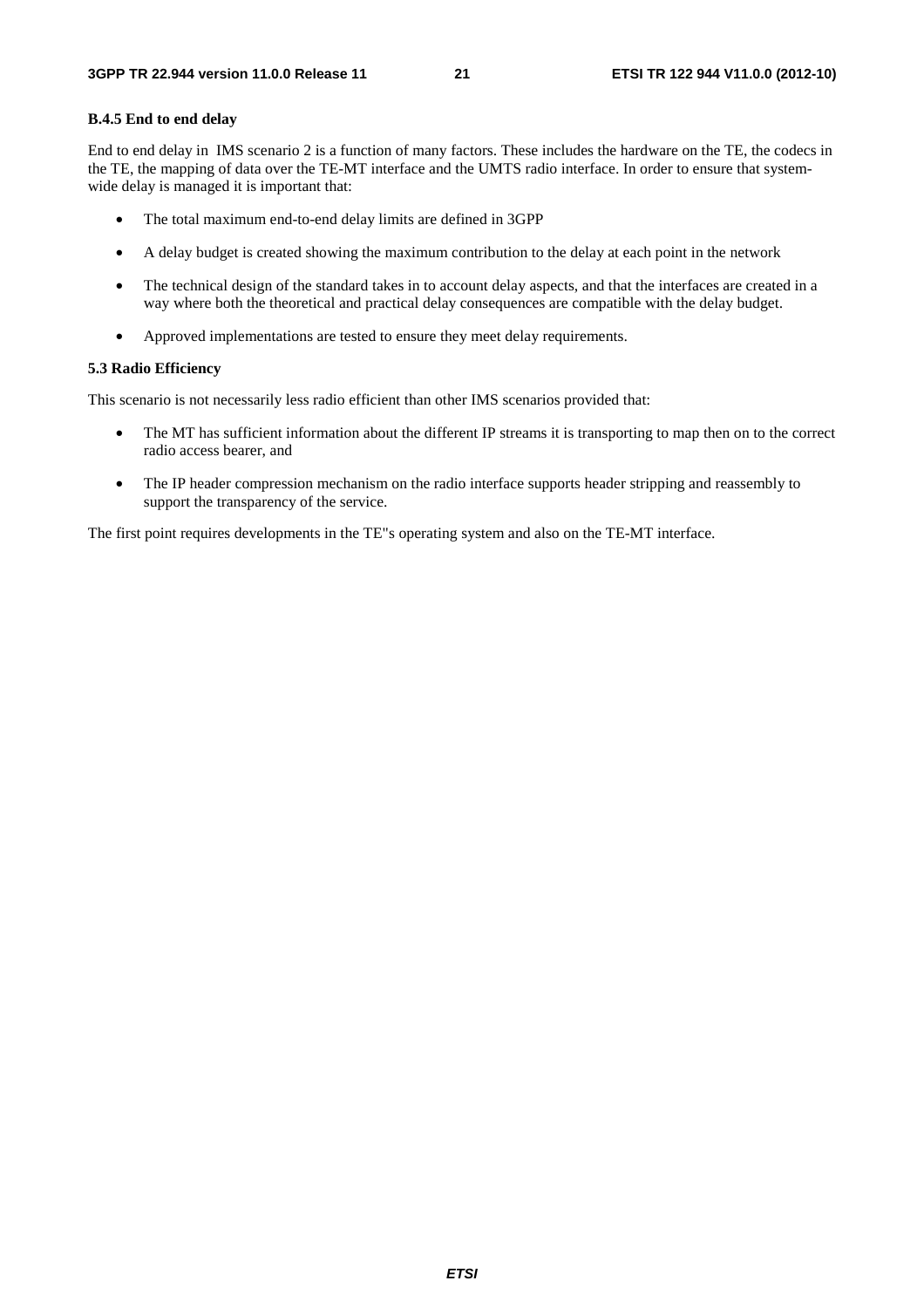#### **B.4.5 End to end delay**

End to end delay in IMS scenario 2 is a function of many factors. These includes the hardware on the TE, the codecs in the TE, the mapping of data over the TE-MT interface and the UMTS radio interface. In order to ensure that systemwide delay is managed it is important that:

- The total maximum end-to-end delay limits are defined in 3GPP
- A delay budget is created showing the maximum contribution to the delay at each point in the network
- The technical design of the standard takes in to account delay aspects, and that the interfaces are created in a way where both the theoretical and practical delay consequences are compatible with the delay budget.
- Approved implementations are tested to ensure they meet delay requirements.

#### **5.3 Radio Efficiency**

This scenario is not necessarily less radio efficient than other IMS scenarios provided that:

- The MT has sufficient information about the different IP streams it is transporting to map then on to the correct radio access bearer, and
- The IP header compression mechanism on the radio interface supports header stripping and reassembly to support the transparency of the service.

The first point requires developments in the TE"s operating system and also on the TE-MT interface.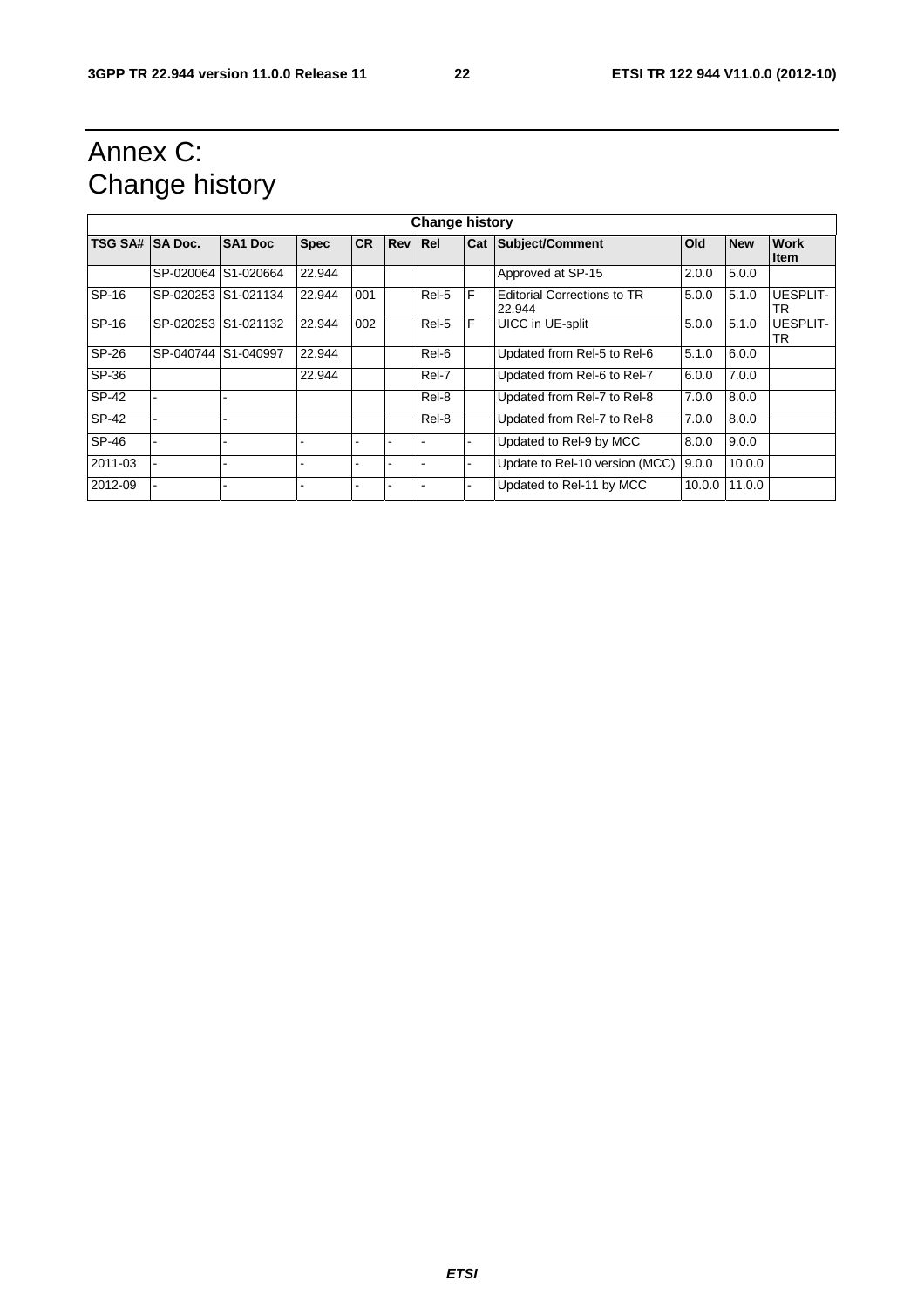### Annex C: Change history

| <b>Change history</b> |                     |                     |             |      |                |       |     |                                              |        |            |                            |
|-----------------------|---------------------|---------------------|-------------|------|----------------|-------|-----|----------------------------------------------|--------|------------|----------------------------|
| TSG SA# SA Doc.       |                     | <b>SA1 Doc</b>      | <b>Spec</b> | ICR. | <b>Rev Rel</b> |       | Cat | Subject/Comment                              | Old    | <b>New</b> | <b>Work</b><br><b>Item</b> |
|                       | SP-020064 S1-020664 |                     | 22.944      |      |                |       |     | Approved at SP-15                            | 2.0.0  | 5.0.0      |                            |
| SP-16                 | SP-020253 S1-021134 |                     | 22.944      | 001  |                | Rel-5 | F   | <b>Editorial Corrections to TR</b><br>22.944 | 5.0.0  | 5.1.0      | <b>UESPLIT-</b><br>TR      |
| SP-16                 |                     | SP-020253 S1-021132 | 22.944      | 002  |                | Rel-5 | F   | UICC in UE-split                             | 5.0.0  | 5.1.0      | <b>UESPLIT-</b><br>TR      |
| SP-26                 | SP-040744 S1-040997 |                     | 22.944      |      |                | Rel-6 |     | Updated from Rel-5 to Rel-6                  | 5.1.0  | 6.0.0      |                            |
| SP-36                 |                     |                     | 22.944      |      |                | Rel-7 |     | Updated from Rel-6 to Rel-7                  | 6.0.0  | 7.0.0      |                            |
| SP-42                 |                     |                     |             |      |                | Rel-8 |     | Updated from Rel-7 to Rel-8                  | 7.0.0  | 8.0.0      |                            |
| SP-42                 |                     |                     |             |      |                | Rel-8 |     | Updated from Rel-7 to Rel-8                  | 7.0.0  | 8.0.0      |                            |
| SP-46                 |                     |                     |             |      |                |       |     | Updated to Rel-9 by MCC                      | 8.0.0  | 9.0.0      |                            |
| 2011-03               |                     |                     |             |      |                |       |     | Update to Rel-10 version (MCC)               | 9.0.0  | 10.0.0     |                            |
| 2012-09               |                     |                     |             |      |                |       |     | Updated to Rel-11 by MCC                     | 10.0.0 | 11.0.0     |                            |